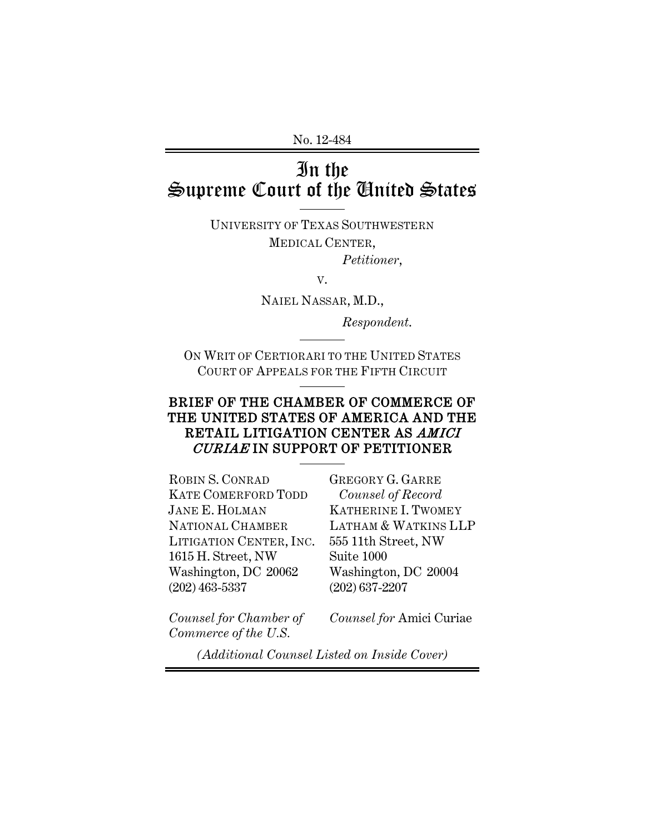No. 12-484

# In the Supreme Court of the United States

UNIVERSITY OF TEXAS SOUTHWESTERN MEDICAL CENTER, *Petitioner*,

V.

NAIEL NASSAR, M.D.,

*Respondent*.

ON WRIT OF CERTIORARI TO THE UNITED STATES COURT OF APPEALS FOR THE FIFTH CIRCUIT

### BRIEF OF THE CHAMBER OF COMMERCE OF THE UNITED STATES OF AMERICA AND THE RETAIL LITIGATION CENTER AS AMICI CURIAE IN SUPPORT OF PETITIONER

ROBIN S. CONRAD KATE COMERFORD TODD JANE E. HOLMAN NATIONAL CHAMBER LITIGATION CENTER, INC. 1615 H. Street, NW Washington, DC 20062 (202) 463-5337

GREGORY G. GARRE *Counsel of Record* KATHERINE I. TWOMEY LATHAM & WATKINS LLP 555 11th Street, NW Suite 1000 Washington, DC 20004 (202) 637-2207

*Counsel for Chamber of Commerce of the U.S.*

*Counsel for* Amici Curiae

*(Additional Counsel Listed on Inside Cover)*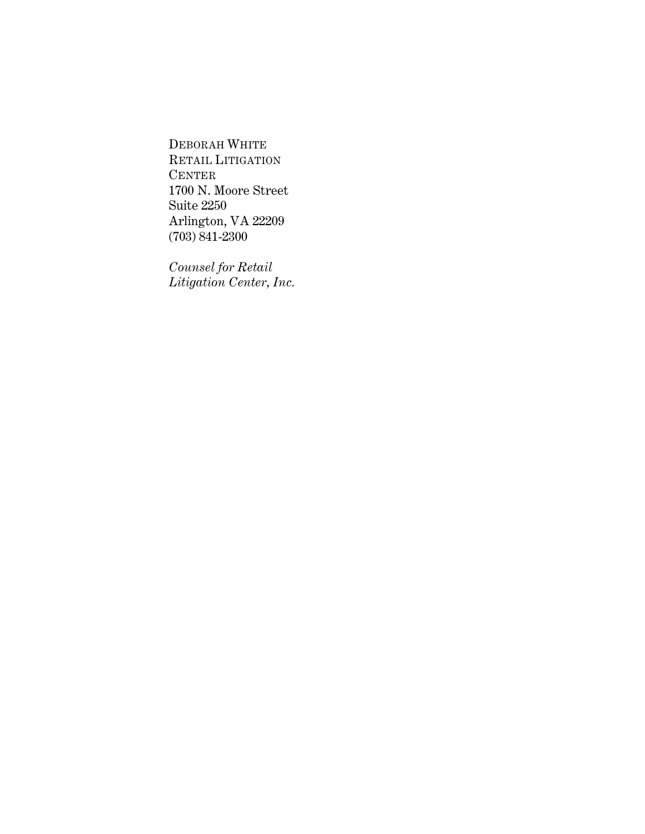DEBORAH WHITE RETAIL LITIGATION **CENTER** 1700 N. Moore Street Suite 2250 Arlington, VA 22209 (703) 841-2300

*Counsel for Retail Litigation Center, Inc.*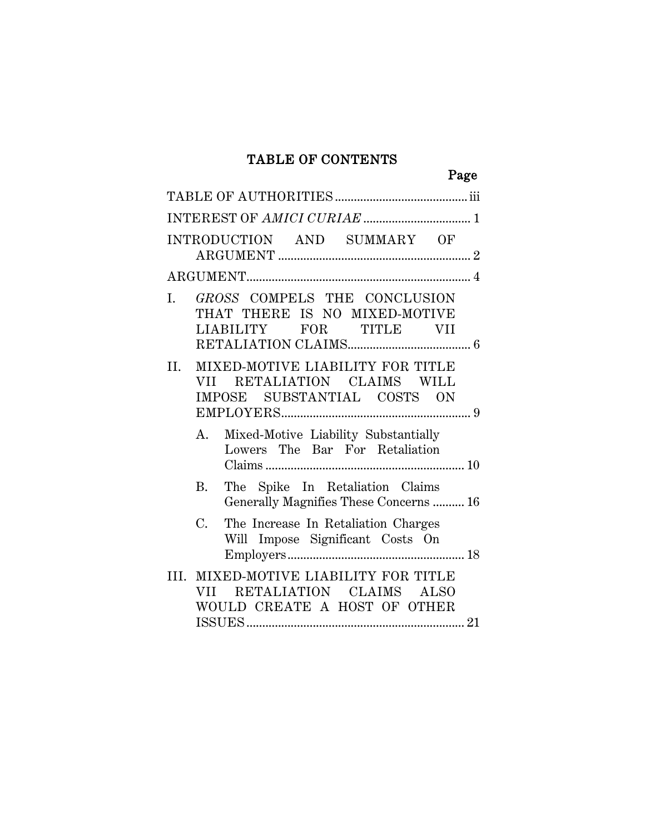## TABLE OF CONTENTS

|     | Page                                                                                                      |  |
|-----|-----------------------------------------------------------------------------------------------------------|--|
|     |                                                                                                           |  |
|     |                                                                                                           |  |
|     | INTRODUCTION AND SUMMARY OF                                                                               |  |
|     |                                                                                                           |  |
| I.  | GROSS COMPELS THE CONCLUSION<br>THAT THERE IS NO MIXED-MOTIVE<br>LIABILITY<br>FOR TITLE VII               |  |
| II. | MIXED-MOTIVE LIABILITY FOR TITLE<br>VII RETALIATION CLAIMS WILL<br>SUBSTANTIAL COSTS ON<br>IMPOSE         |  |
|     | Mixed-Motive Liability Substantially<br>A.<br>Lowers The Bar For Retaliation                              |  |
|     | The Spike In Retaliation Claims<br>B.<br>Generally Magnifies These Concerns  16                           |  |
|     | $C_{\cdot}$<br>The Increase In Retaliation Charges<br>Will Impose Significant Costs On                    |  |
|     | III. MIXED-MOTIVE LIABILITY FOR TITLE<br>RETALIATION CLAIMS ALSO<br>VII —<br>WOULD CREATE A HOST OF OTHER |  |
|     |                                                                                                           |  |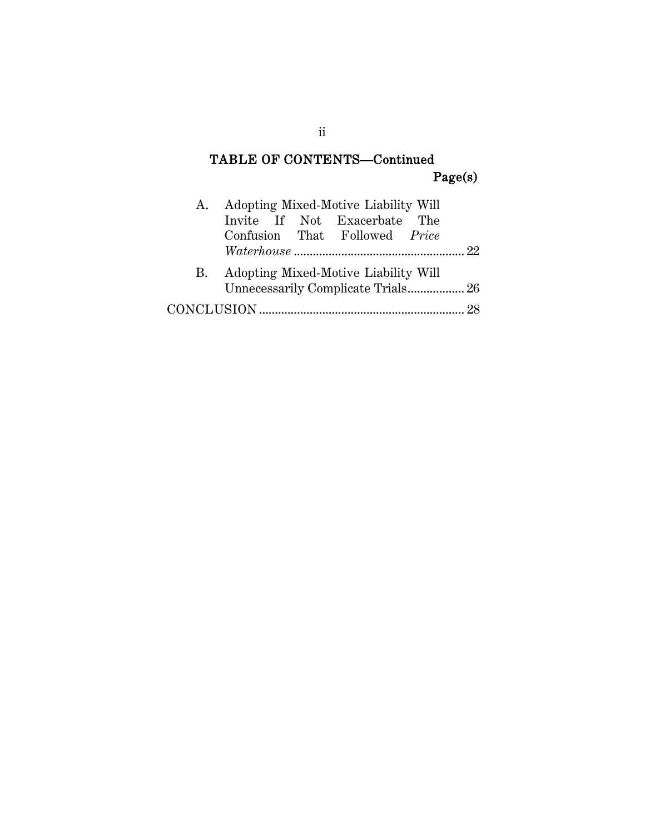## TABLE OF CONTENTS—Continued Page(s)

| A. |  | Adopting Mixed-Motive Liability Will |  |
|----|--|--------------------------------------|--|
|    |  | Invite If Not Exacerbate The         |  |
|    |  | Confusion That Followed Price        |  |
|    |  |                                      |  |
| B. |  | Adopting Mixed-Motive Liability Will |  |
|    |  |                                      |  |
|    |  |                                      |  |
|    |  |                                      |  |

ii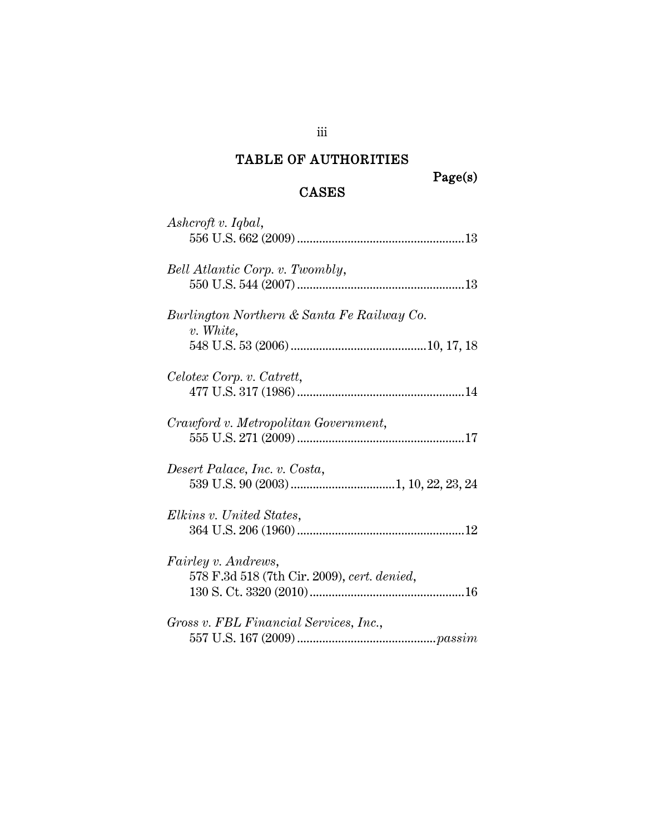## TABLE OF AUTHORITIES

### CASES

| Ashcroft v. Iqbal,                                        |
|-----------------------------------------------------------|
| Bell Atlantic Corp. v. Twombly,                           |
| Burlington Northern & Santa Fe Railway Co.<br>$v.$ White, |
|                                                           |
| Celotex Corp. v. Catrett,                                 |
|                                                           |
| Crawford v. Metropolitan Government,                      |
|                                                           |
| Desert Palace, Inc. v. Costa,                             |
|                                                           |
| Elkins v. United States,                                  |
|                                                           |
| <i>Fairley v. Andrews,</i>                                |
| 578 F.3d 518 (7th Cir. 2009), cert. denied,               |
|                                                           |
| Gross v. FBL Financial Services, Inc.,                    |
|                                                           |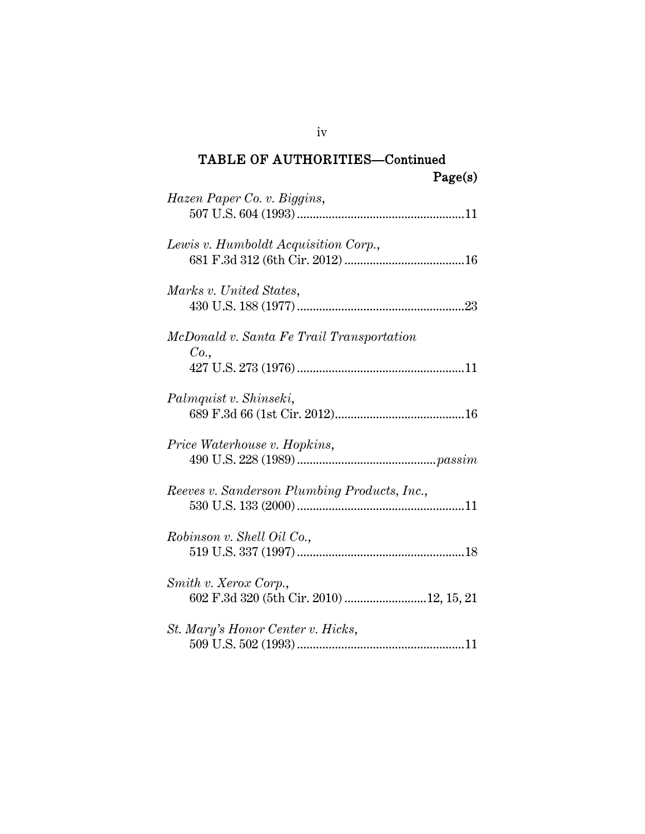| Hazen Paper Co. v. Biggins,                       |
|---------------------------------------------------|
| Lewis v. Humboldt Acquisition Corp.,              |
| Marks v. United States,                           |
| McDonald v. Santa Fe Trail Transportation<br>Co., |
| Palmquist v. Shinseki,                            |
| Price Waterhouse v. Hopkins,                      |
| Reeves v. Sanderson Plumbing Products, Inc.,      |
| Robinson v. Shell Oil Co.,                        |
| Smith v. Xerox Corp.,                             |
| St. Mary's Honor Center v. Hicks,                 |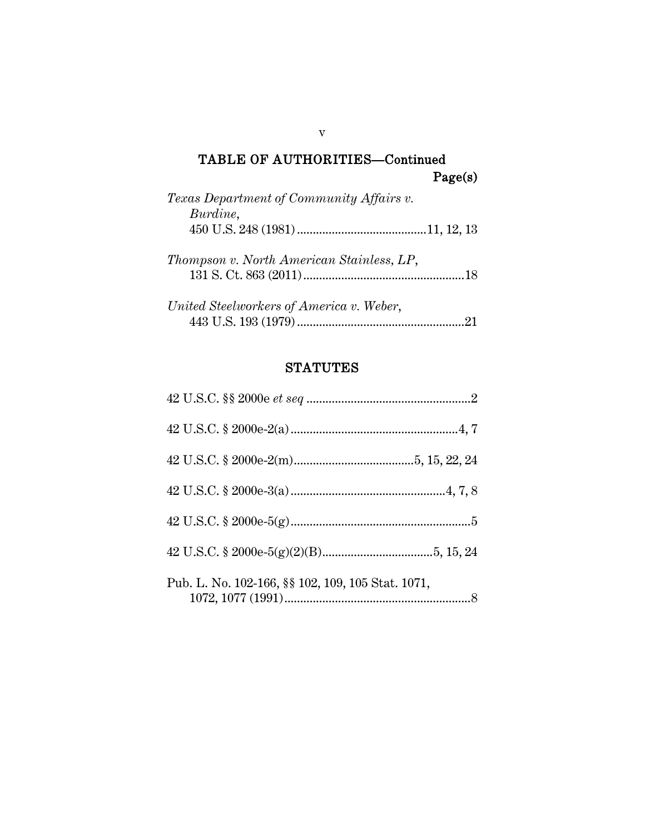| Texas Department of Community Affairs v.<br>Burdine, |    |
|------------------------------------------------------|----|
|                                                      |    |
| Thompson v. North American Stainless, LP,            |    |
| United Steelworkers of America v. Weber,             | 21 |

## **STATUTES**

| Pub. L. No. 102-166, §§ 102, 109, 105 Stat. 1071, |
|---------------------------------------------------|

v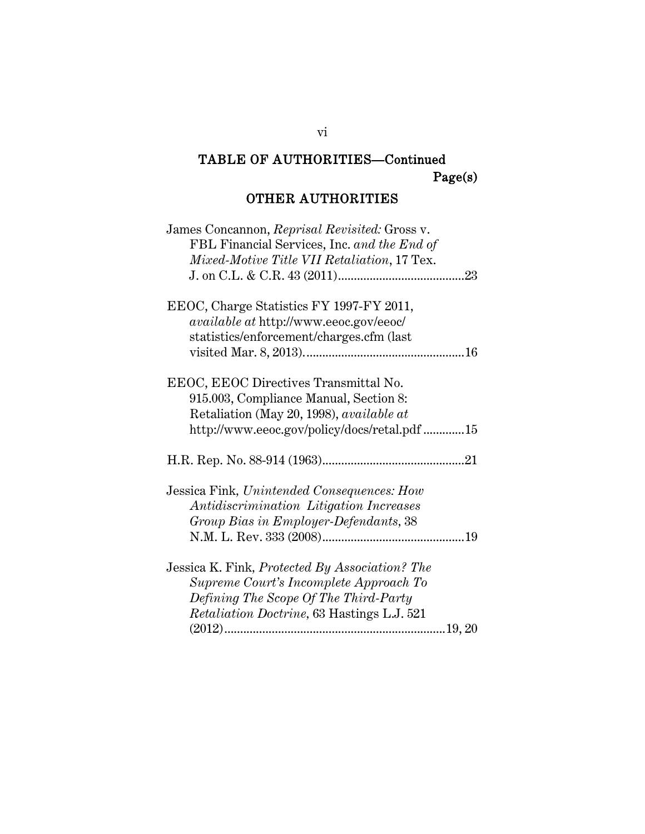## OTHER AUTHORITIES

| James Concannon, Reprisal Revisited: Gross v.      |
|----------------------------------------------------|
| FBL Financial Services, Inc. and the End of        |
| Mixed-Motive Title VII Retaliation, 17 Tex.        |
|                                                    |
| EEOC, Charge Statistics FY 1997-FY 2011,           |
| <i>available at http://www.eeoc.gov/eeoc/</i>      |
| statistics/enforcement/charges.cfm (last           |
|                                                    |
|                                                    |
| EEOC, EEOC Directives Transmittal No.              |
| 915.003, Compliance Manual, Section 8:             |
| Retaliation (May 20, 1998), <i>available at</i>    |
| http://www.eeoc.gov/policy/docs/retal.pdf 15       |
|                                                    |
|                                                    |
|                                                    |
| Jessica Fink, Unintended Consequences: How         |
| Antidiscrimination Litigation Increases            |
| Group Bias in Employer-Defendants, 38              |
|                                                    |
| Jessica K. Fink, Protected By Association? The     |
| Supreme Court's Incomplete Approach To             |
|                                                    |
| Defining The Scope Of The Third-Party              |
| <i>Retaliation Doctrine</i> , 63 Hastings L.J. 521 |
|                                                    |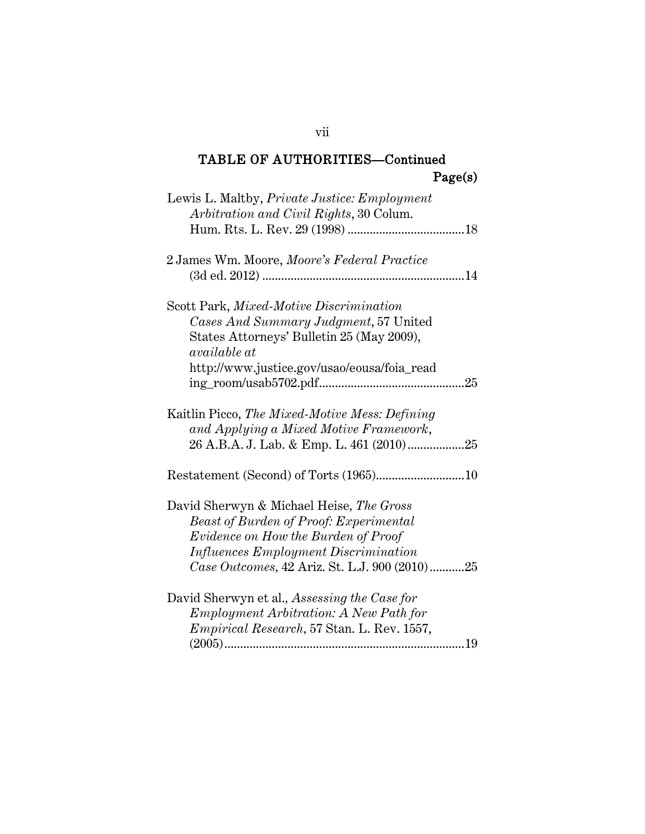| Lewis L. Maltby, <i>Private Justice: Employment</i><br>Arbitration and Civil Rights, 30 Colum.                                                                                                                                   |  |
|----------------------------------------------------------------------------------------------------------------------------------------------------------------------------------------------------------------------------------|--|
| 2 James Wm. Moore, Moore's Federal Practice                                                                                                                                                                                      |  |
| Scott Park, Mixed-Motive Discrimination<br>Cases And Summary Judgment, 57 United<br>States Attorneys' Bulletin 25 (May 2009),<br><i>available at</i><br>http://www.justice.gov/usao/eousa/foia_read                              |  |
| Kaitlin Picco, The Mixed-Motive Mess: Defining<br>and Applying a Mixed Motive Framework,                                                                                                                                         |  |
|                                                                                                                                                                                                                                  |  |
| David Sherwyn & Michael Heise, The Gross<br><b>Beast of Burden of Proof: Experimental</b><br>Evidence on How the Burden of Proof<br><i>Influences Employment Discrimination</i><br>Case Outcomes, 42 Ariz. St. L.J. 900 (2010)25 |  |
| David Sherwyn et al., Assessing the Case for<br><i>Employment Arbitration: A New Path for</i><br>Empirical Research, 57 Stan. L. Rev. 1557,                                                                                      |  |

vii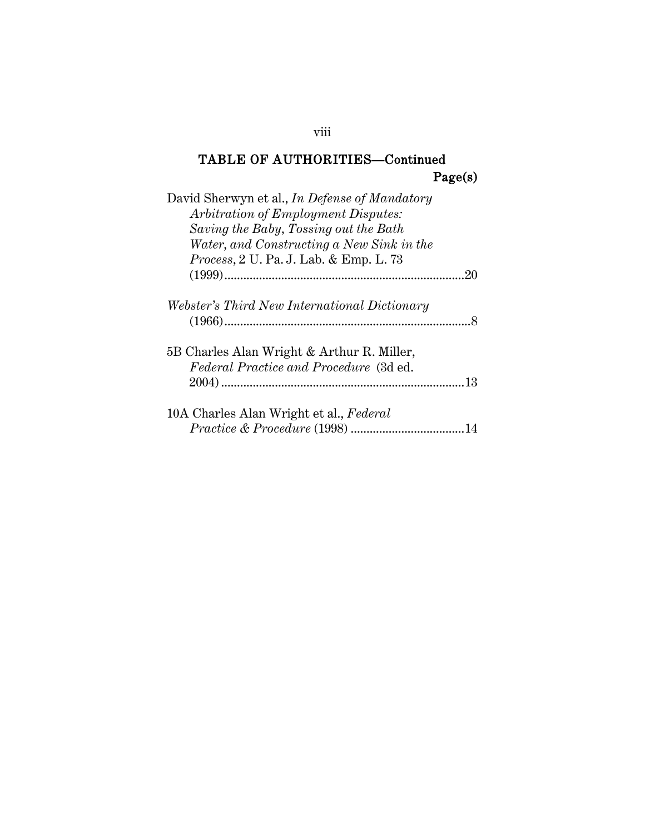| David Sherwyn et al., In Defense of Mandatory  |
|------------------------------------------------|
| Arbitration of Employment Disputes:            |
| Saving the Baby, Tossing out the Bath          |
| Water, and Constructing a New Sink in the      |
| <i>Process</i> , 2 U. Pa. J. Lab. & Emp. L. 73 |
| -20                                            |
| Webster's Third New International Dictionary   |
|                                                |
| 5B Charles Alan Wright & Arthur R. Miller,     |
| Federal Practice and Procedure (3d ed.         |
|                                                |
| 10A Charles Alan Wright et al., Federal        |
| 14                                             |

### viii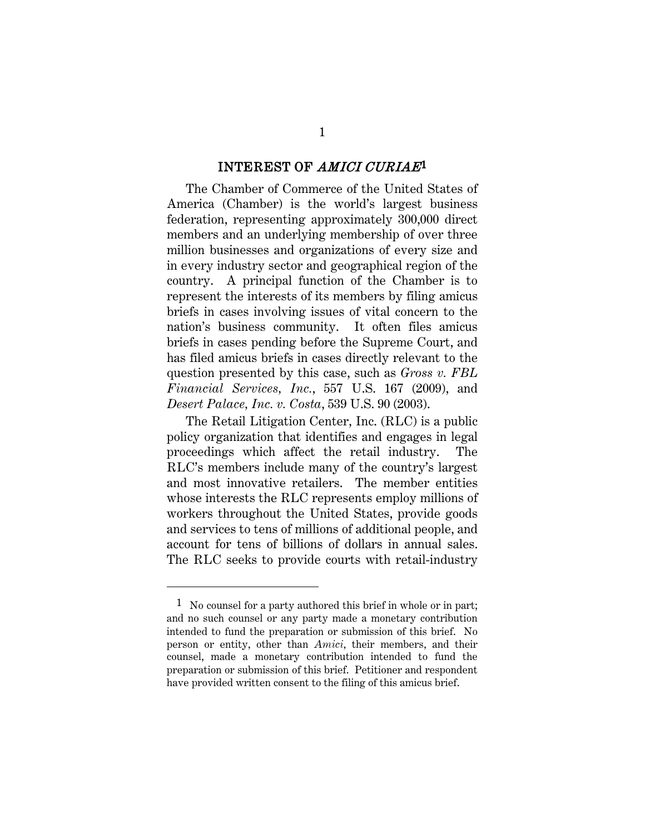#### INTEREST OF AMICI CURIAE[1](#page-10-0)

The Chamber of Commerce of the United States of America (Chamber) is the world's largest business federation, representing approximately 300,000 direct members and an underlying membership of over three million businesses and organizations of every size and in every industry sector and geographical region of the country. A principal function of the Chamber is to represent the interests of its members by filing amicus briefs in cases involving issues of vital concern to the nation's business community. It often files amicus briefs in cases pending before the Supreme Court, and has filed amicus briefs in cases directly relevant to the question presented by this case, such as *Gross v. FBL Financial Services, Inc.*, 557 U.S. 167 (2009), and *Desert Palace, Inc. v. Costa*, 539 U.S. 90 (2003).

The Retail Litigation Center, Inc. (RLC) is a public policy organization that identifies and engages in legal proceedings which affect the retail industry. The RLC's members include many of the country's largest and most innovative retailers. The member entities whose interests the RLC represents employ millions of workers throughout the United States, provide goods and services to tens of millions of additional people, and account for tens of billions of dollars in annual sales. The RLC seeks to provide courts with retail-industry

<span id="page-10-0"></span><sup>&</sup>lt;sup>1</sup> No counsel for a party authored this brief in whole or in part; and no such counsel or any party made a monetary contribution intended to fund the preparation or submission of this brief. No person or entity, other than *Amici*, their members, and their counsel, made a monetary contribution intended to fund the preparation or submission of this brief. Petitioner and respondent have provided written consent to the filing of this amicus brief.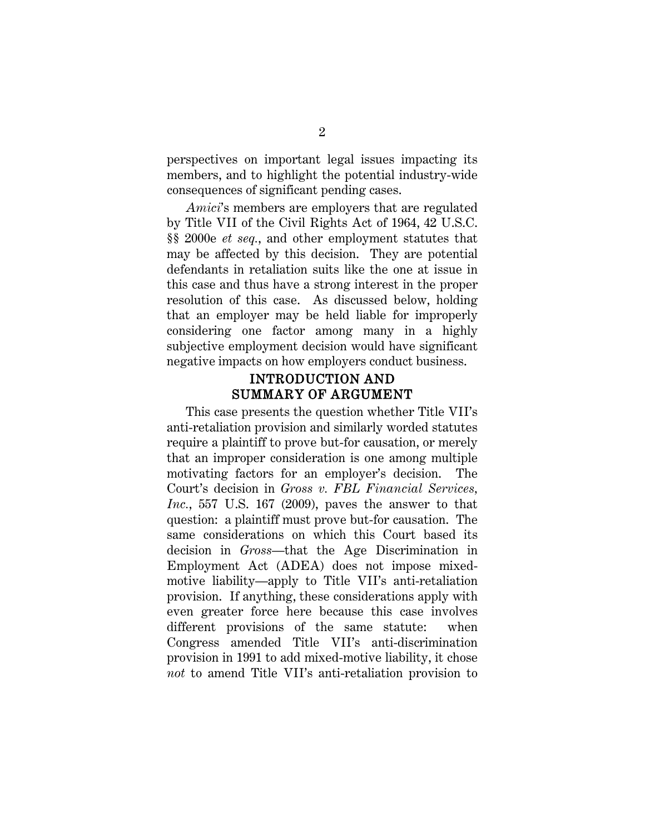perspectives on important legal issues impacting its members, and to highlight the potential industry-wide consequences of significant pending cases.

*Amici*'s members are employers that are regulated by Title VII of the Civil Rights Act of 1964, 42 U.S.C. §§ 2000e *et seq.*, and other employment statutes that may be affected by this decision. They are potential defendants in retaliation suits like the one at issue in this case and thus have a strong interest in the proper resolution of this case. As discussed below, holding that an employer may be held liable for improperly considering one factor among many in a highly subjective employment decision would have significant negative impacts on how employers conduct business.

### INTRODUCTION AND SUMMARY OF ARGUMENT

This case presents the question whether Title VII's anti-retaliation provision and similarly worded statutes require a plaintiff to prove but-for causation, or merely that an improper consideration is one among multiple motivating factors for an employer's decision. The Court's decision in *Gross v. FBL Financial Services, Inc.*, 557 U.S. 167 (2009), paves the answer to that question: a plaintiff must prove but-for causation. The same considerations on which this Court based its decision in *Gross*—that the Age Discrimination in Employment Act (ADEA) does not impose mixedmotive liability—apply to Title VII's anti-retaliation provision. If anything, these considerations apply with even greater force here because this case involves different provisions of the same statute: when Congress amended Title VII's anti-discrimination provision in 1991 to add mixed-motive liability, it chose *not* to amend Title VII's anti-retaliation provision to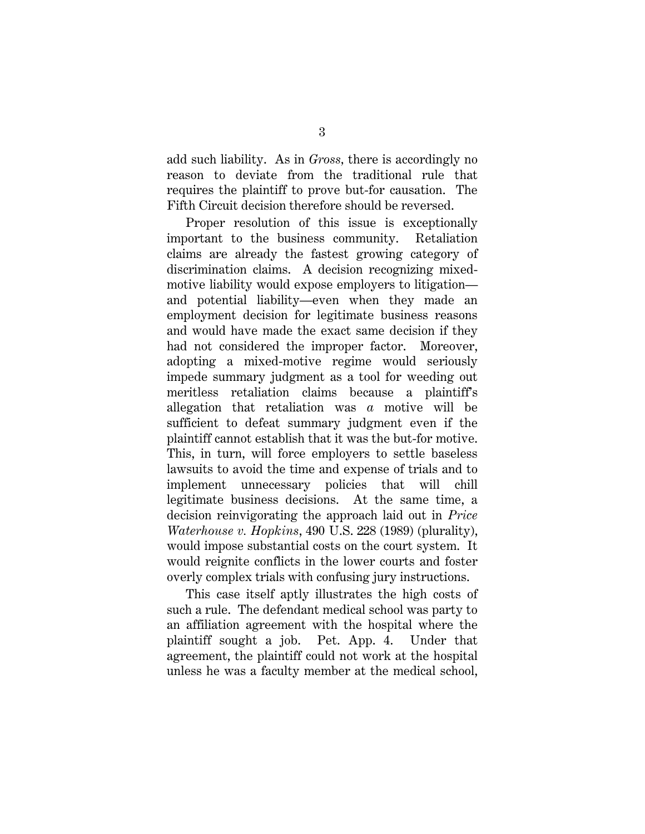add such liability. As in *Gross,* there is accordingly no reason to deviate from the traditional rule that requires the plaintiff to prove but-for causation. The Fifth Circuit decision therefore should be reversed.

Proper resolution of this issue is exceptionally important to the business community. Retaliation claims are already the fastest growing category of discrimination claims. A decision recognizing mixedmotive liability would expose employers to litigation and potential liability—even when they made an employment decision for legitimate business reasons and would have made the exact same decision if they had not considered the improper factor. Moreover, adopting a mixed-motive regime would seriously impede summary judgment as a tool for weeding out meritless retaliation claims because a plaintiff's allegation that retaliation was *a* motive will be sufficient to defeat summary judgment even if the plaintiff cannot establish that it was the but-for motive. This, in turn, will force employers to settle baseless lawsuits to avoid the time and expense of trials and to implement unnecessary policies that will chill legitimate business decisions. At the same time, a decision reinvigorating the approach laid out in *Price Waterhouse v. Hopkins*, 490 U.S. 228 (1989) (plurality), would impose substantial costs on the court system. It would reignite conflicts in the lower courts and foster overly complex trials with confusing jury instructions.

This case itself aptly illustrates the high costs of such a rule. The defendant medical school was party to an affiliation agreement with the hospital where the plaintiff sought a job. Pet. App. 4. Under that agreement, the plaintiff could not work at the hospital unless he was a faculty member at the medical school,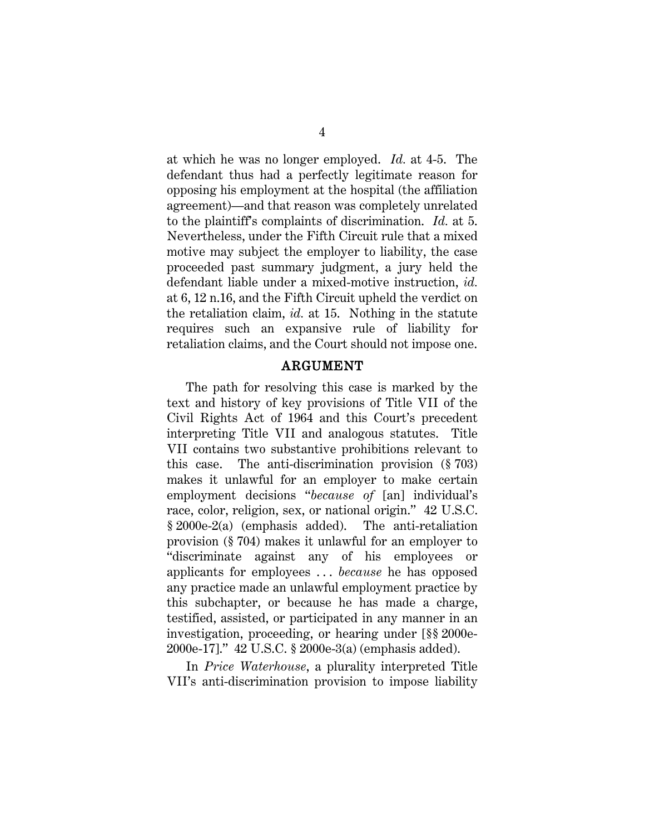at which he was no longer employed. *Id.* at 4-5. The defendant thus had a perfectly legitimate reason for opposing his employment at the hospital (the affiliation agreement)—and that reason was completely unrelated to the plaintiff's complaints of discrimination. *Id.* at 5. Nevertheless, under the Fifth Circuit rule that a mixed motive may subject the employer to liability, the case proceeded past summary judgment, a jury held the defendant liable under a mixed-motive instruction, *id.* at 6, 12 n.16, and the Fifth Circuit upheld the verdict on the retaliation claim, *id.* at 15. Nothing in the statute requires such an expansive rule of liability for retaliation claims, and the Court should not impose one.

#### ARGUMENT

The path for resolving this case is marked by the text and history of key provisions of Title VII of the Civil Rights Act of 1964 and this Court's precedent interpreting Title VII and analogous statutes. Title VII contains two substantive prohibitions relevant to this case. The anti-discrimination provision (§ 703) makes it unlawful for an employer to make certain employment decisions "*because of* [an] individual's race, color, religion, sex, or national origin." 42 U.S.C. § 2000e-2(a) (emphasis added). The anti-retaliation provision (§ 704) makes it unlawful for an employer to "discriminate against any of his employees or applicants for employees . . . *because* he has opposed any practice made an unlawful employment practice by this subchapter, or because he has made a charge, testified, assisted, or participated in any manner in an investigation, proceeding, or hearing under [§§ 2000e-2000e-17]." 42 U.S.C. § 2000e-3(a) (emphasis added).

In *Price Waterhouse*, a plurality interpreted Title VII's anti-discrimination provision to impose liability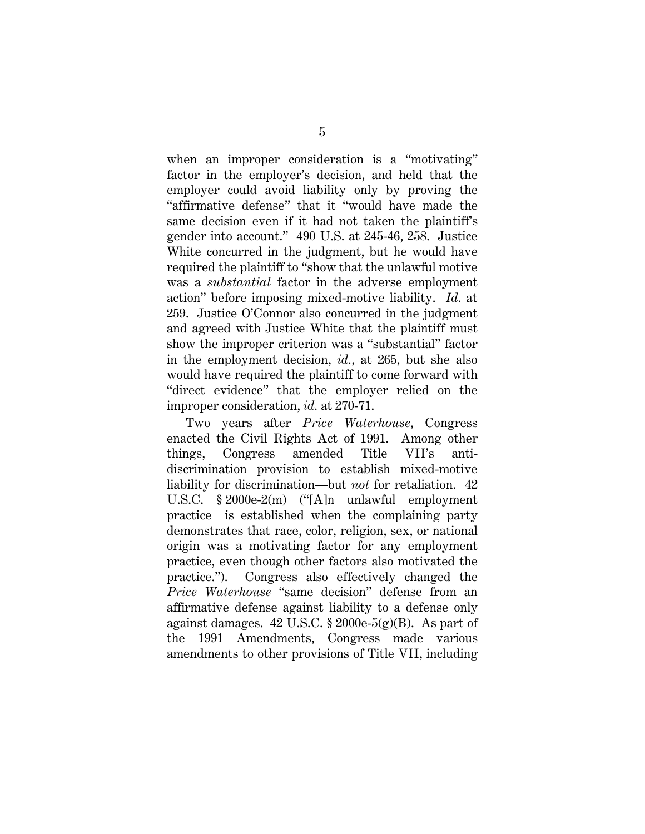when an improper consideration is a "motivating" factor in the employer's decision, and held that the employer could avoid liability only by proving the "affirmative defense" that it "would have made the same decision even if it had not taken the plaintiff's gender into account." 490 U.S. at 245-46, 258. Justice White concurred in the judgment, but he would have required the plaintiff to "show that the unlawful motive was a *substantial* factor in the adverse employment action" before imposing mixed-motive liability. *Id.* at 259. Justice O'Connor also concurred in the judgment and agreed with Justice White that the plaintiff must show the improper criterion was a "substantial" factor in the employment decision, *id.*, at 265, but she also would have required the plaintiff to come forward with "direct evidence" that the employer relied on the improper consideration, *id.* at 270-71.

Two years after *Price Waterhouse*, Congress enacted the Civil Rights Act of 1991. Among other things, Congress amended Title VII's antidiscrimination provision to establish mixed-motive liability for discrimination—but *not* for retaliation. 42 U.S.C. § 2000e-2(m) ("[A]n unlawful employment practice is established when the complaining party demonstrates that race, color, religion, sex, or national origin was a motivating factor for any employment practice, even though other factors also motivated the practice."). Congress also effectively changed the *Price Waterhouse* "same decision" defense from an affirmative defense against liability to a defense only against damages.  $42 \text{ U.S.C. }$  \$ 2000e- $5(g)(B)$ . As part of the 1991 Amendments, Congress made various amendments to other provisions of Title VII, including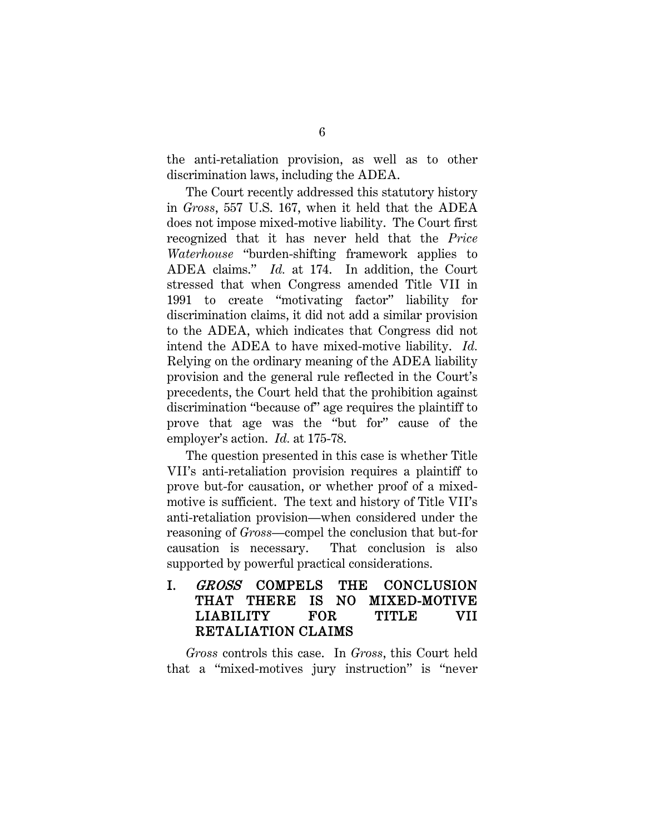the anti-retaliation provision, as well as to other discrimination laws, including the ADEA.

The Court recently addressed this statutory history in *Gross*, 557 U.S. 167, when it held that the ADEA does not impose mixed-motive liability. The Court first recognized that it has never held that the *Price Waterhouse* "burden-shifting framework applies to ADEA claims." *Id.* at 174. In addition, the Court stressed that when Congress amended Title VII in 1991 to create "motivating factor" liability for discrimination claims, it did not add a similar provision to the ADEA, which indicates that Congress did not intend the ADEA to have mixed-motive liability. *Id.* Relying on the ordinary meaning of the ADEA liability provision and the general rule reflected in the Court's precedents, the Court held that the prohibition against discrimination "because of" age requires the plaintiff to prove that age was the "but for" cause of the employer's action. *Id.* at 175-78.

The question presented in this case is whether Title VII's anti-retaliation provision requires a plaintiff to prove but-for causation, or whether proof of a mixedmotive is sufficient. The text and history of Title VII's anti-retaliation provision—when considered under the reasoning of *Gross*—compel the conclusion that but-for causation is necessary. That conclusion is also supported by powerful practical considerations.

I. GROSS COMPELS THE CONCLUSION THAT THERE IS NO MIXED-MOTIVE LIABILITY FOR TITLE VII RETALIATION CLAIMS

*Gross* controls this case. In *Gross*, this Court held that a "mixed-motives jury instruction" is "never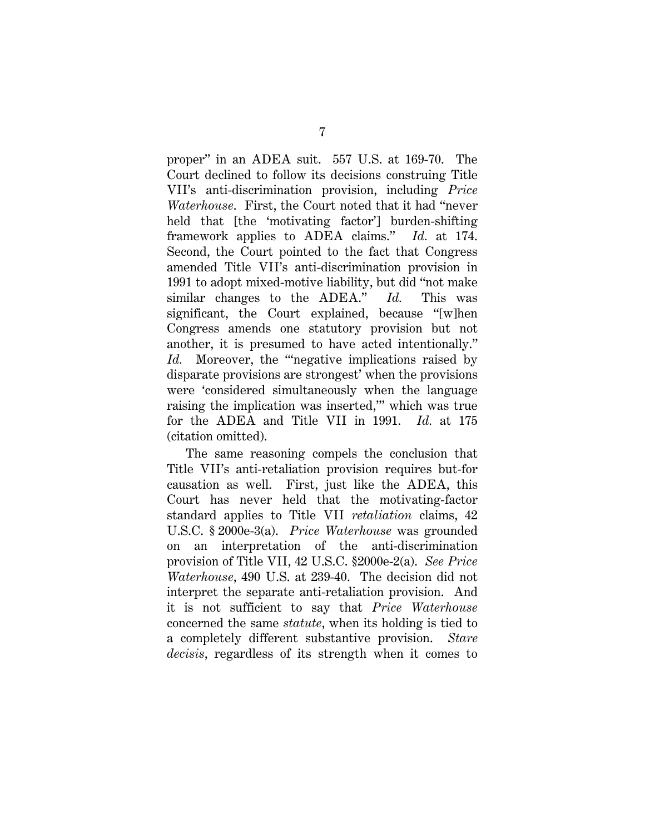proper" in an ADEA suit. 557 U.S. at 169-70. The Court declined to follow its decisions construing Title VII's anti-discrimination provision, including *Price Waterhouse*. First, the Court noted that it had "never held that [the 'motivating factor'] burden-shifting framework applies to ADEA claims." *Id.* at 174. Second, the Court pointed to the fact that Congress amended Title VII's anti-discrimination provision in 1991 to adopt mixed-motive liability, but did "not make similar changes to the ADEA." *Id.* This was significant, the Court explained, because "[w]hen Congress amends one statutory provision but not another, it is presumed to have acted intentionally." Id. Moreover, the "negative implications raised by disparate provisions are strongest' when the provisions were 'considered simultaneously when the language raising the implication was inserted,'" which was true for the ADEA and Title VII in 1991. *Id.* at 175 (citation omitted).

The same reasoning compels the conclusion that Title VII's anti-retaliation provision requires but-for causation as well. First, just like the ADEA, this Court has never held that the motivating-factor standard applies to Title VII *retaliation* claims, 42 U.S.C. § 2000e-3(a). *Price Waterhouse* was grounded on an interpretation of the anti-discrimination provision of Title VII, 42 U.S.C. §2000e-2(a). *See Price Waterhouse*, 490 U.S. at 239-40. The decision did not interpret the separate anti-retaliation provision. And it is not sufficient to say that *Price Waterhouse* concerned the same *statute*, when its holding is tied to a completely different substantive provision. *Stare decisis*, regardless of its strength when it comes to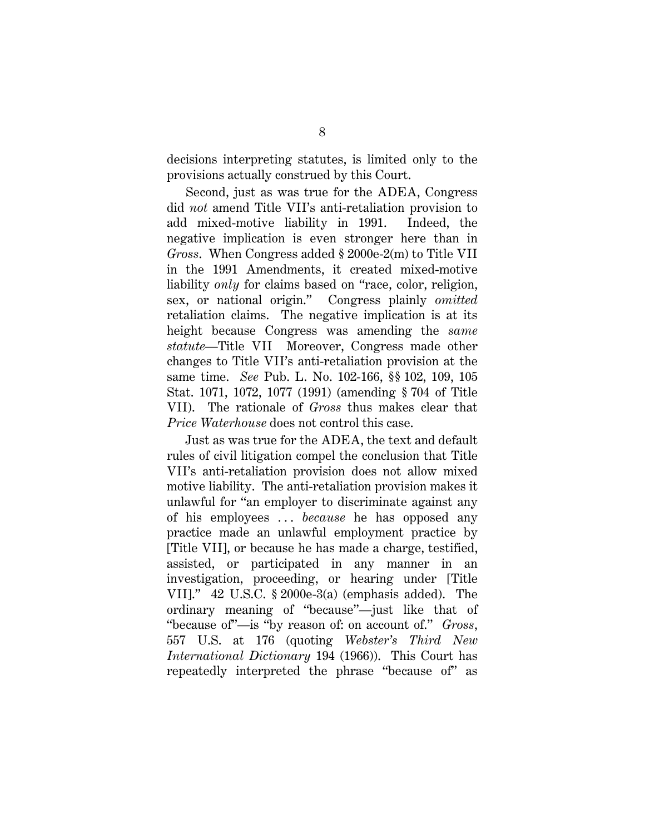decisions interpreting statutes, is limited only to the provisions actually construed by this Court.

Second, just as was true for the ADEA, Congress did *not* amend Title VII's anti-retaliation provision to add mixed-motive liability in 1991. Indeed, the negative implication is even stronger here than in *Gross*. When Congress added § 2000e-2(m) to Title VII in the 1991 Amendments, it created mixed-motive liability *only* for claims based on "race, color, religion, sex, or national origin." Congress plainly *omitted* retaliation claims. The negative implication is at its height because Congress was amending the *same statute*—Title VII Moreover, Congress made other changes to Title VII's anti-retaliation provision at the same time. *See* Pub. L. No. 102-166, §§ 102, 109, 105 Stat. 1071, 1072, 1077 (1991) (amending § 704 of Title VII). The rationale of *Gross* thus makes clear that *Price Waterhouse* does not control this case.

Just as was true for the ADEA, the text and default rules of civil litigation compel the conclusion that Title VII's anti-retaliation provision does not allow mixed motive liability. The anti-retaliation provision makes it unlawful for "an employer to discriminate against any of his employees . . . *because* he has opposed any practice made an unlawful employment practice by [Title VII], or because he has made a charge, testified, assisted, or participated in any manner in an investigation, proceeding, or hearing under [Title VII]." 42 U.S.C. § 2000e-3(a) (emphasis added). The ordinary meaning of "because"—just like that of "because of"—is "by reason of: on account of." *Gross*, 557 U.S. at 176 (quoting *Webster's Third New International Dictionary* 194 (1966)). This Court has repeatedly interpreted the phrase "because of" as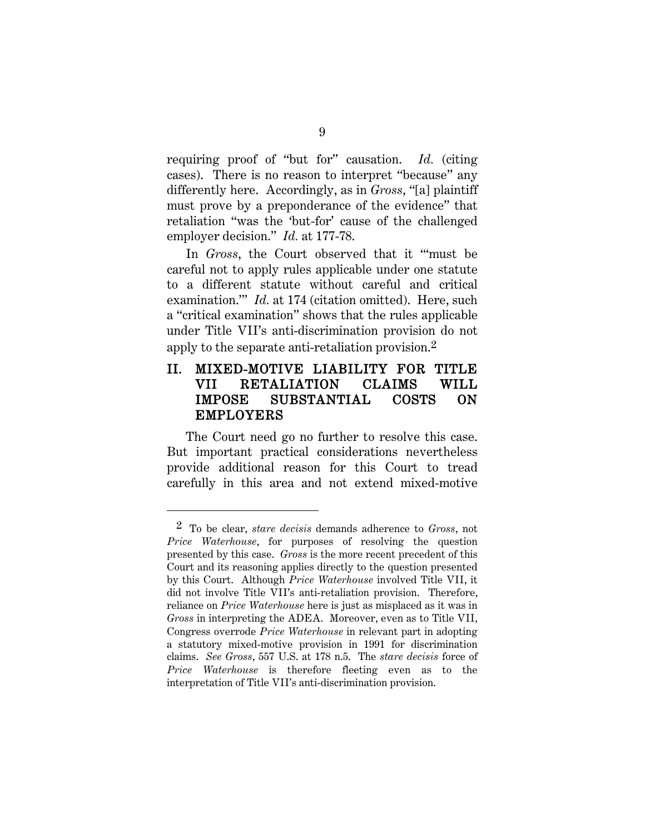requiring proof of "but for" causation. *Id.* (citing cases). There is no reason to interpret "because" any differently here. Accordingly, as in *Gross*, "[a] plaintiff must prove by a preponderance of the evidence" that retaliation "was the 'but-for' cause of the challenged employer decision." *Id.* at 177-78.

In *Gross*, the Court observed that it "'must be careful not to apply rules applicable under one statute to a different statute without careful and critical examination.'" *Id.* at 174 (citation omitted). Here, such a "critical examination" shows that the rules applicable under Title VII's anti-discrimination provision do not apply to the separate anti-retaliation provision.[2](#page-18-0)

### II. MIXED-MOTIVE LIABILITY FOR TITLE VII RETALIATION CLAIMS WILL IMPOSE SUBSTANTIAL COSTS ON EMPLOYERS

The Court need go no further to resolve this case. But important practical considerations nevertheless provide additional reason for this Court to tread carefully in this area and not extend mixed-motive

<span id="page-18-0"></span><sup>2</sup> To be clear, *stare decisis* demands adherence to *Gross*, not *Price Waterhouse*, for purposes of resolving the question presented by this case. *Gross* is the more recent precedent of this Court and its reasoning applies directly to the question presented by this Court. Although *Price Waterhouse* involved Title VII, it did not involve Title VII's anti-retaliation provision. Therefore, reliance on *Price Waterhouse* here is just as misplaced as it was in *Gross* in interpreting the ADEA. Moreover, even as to Title VII, Congress overrode *Price Waterhouse* in relevant part in adopting a statutory mixed-motive provision in 1991 for discrimination claims. *See Gross*, 557 U.S. at 178 n.5. The *stare decisis* force of *Price Waterhouse* is therefore fleeting even as to the interpretation of Title VII's anti-discrimination provision.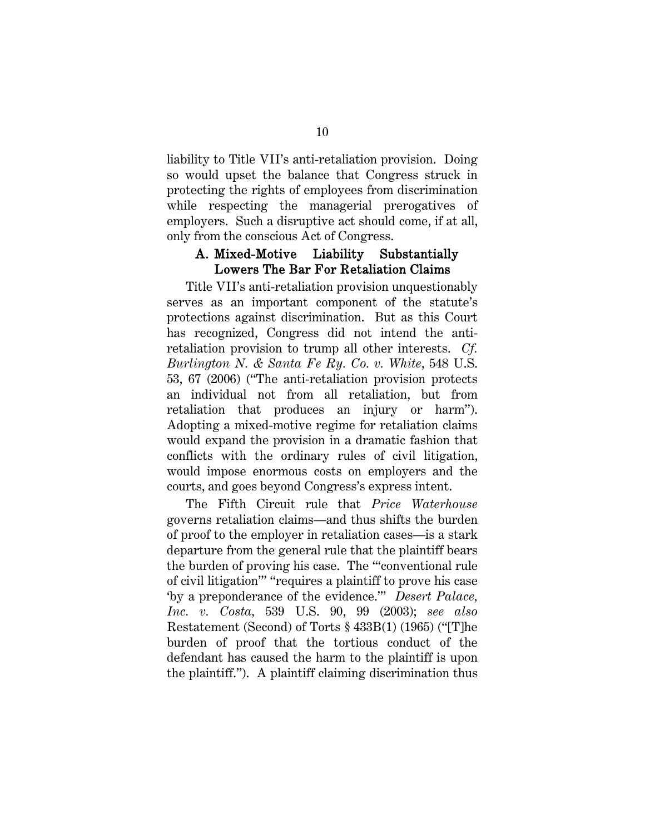liability to Title VII's anti-retaliation provision. Doing so would upset the balance that Congress struck in protecting the rights of employees from discrimination while respecting the managerial prerogatives of employers. Such a disruptive act should come, if at all, only from the conscious Act of Congress.

### A. Mixed-Motive Liability Substantially Lowers The Bar For Retaliation Claims

Title VII's anti-retaliation provision unquestionably serves as an important component of the statute's protections against discrimination. But as this Court has recognized, Congress did not intend the antiretaliation provision to trump all other interests. *Cf. Burlington N. & Santa Fe Ry. Co. v. White*, 548 U.S. 53, 67 (2006) ("The anti-retaliation provision protects an individual not from all retaliation, but from retaliation that produces an injury or harm"). Adopting a mixed-motive regime for retaliation claims would expand the provision in a dramatic fashion that conflicts with the ordinary rules of civil litigation, would impose enormous costs on employers and the courts, and goes beyond Congress's express intent.

The Fifth Circuit rule that *Price Waterhouse*  governs retaliation claims—and thus shifts the burden of proof to the employer in retaliation cases—is a stark departure from the general rule that the plaintiff bears the burden of proving his case. The "'conventional rule of civil litigation'" "requires a plaintiff to prove his case 'by a preponderance of the evidence.'" *Desert Palace, Inc. v. Costa,* 539 U.S. 90, 99 (2003); *see also* Restatement (Second) of Torts § 433B(1) (1965) ("[T]he burden of proof that the tortious conduct of the defendant has caused the harm to the plaintiff is upon the plaintiff."). A plaintiff claiming discrimination thus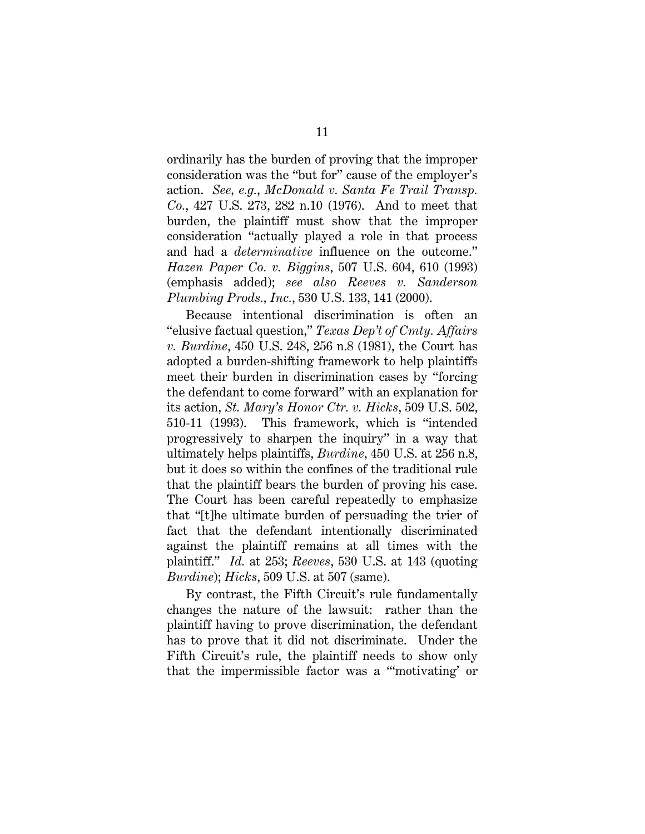ordinarily has the burden of proving that the improper consideration was the "but for" cause of the employer's action. *See, e.g.*, *McDonald v. Santa Fe Trail Transp. Co.*, 427 U.S. 273, 282 n.10 (1976). And to meet that burden, the plaintiff must show that the improper consideration "actually played a role in that process and had a *determinative* influence on the outcome." *Hazen Paper Co. v. Biggins*, 507 U.S. 604, 610 (1993) (emphasis added); *see also Reeves v. Sanderson Plumbing Prods., Inc.*, 530 U.S. 133, 141 (2000).

Because intentional discrimination is often an "elusive factual question," *Texas Dep't of Cmty. Affairs v. Burdine*, 450 U.S. 248, 256 n.8 (1981), the Court has adopted a burden-shifting framework to help plaintiffs meet their burden in discrimination cases by "forcing the defendant to come forward" with an explanation for its action, *St. Mary's Honor Ctr. v. Hicks*, 509 U.S. 502, 510-11 (1993). This framework, which is "intended progressively to sharpen the inquiry" in a way that ultimately helps plaintiffs, *Burdine*, 450 U.S. at 256 n.8, but it does so within the confines of the traditional rule that the plaintiff bears the burden of proving his case. The Court has been careful repeatedly to emphasize that "[t]he ultimate burden of persuading the trier of fact that the defendant intentionally discriminated against the plaintiff remains at all times with the plaintiff." *Id.* at 253; *Reeves*, 530 U.S. at 143 (quoting *Burdine*); *Hicks*, 509 U.S. at 507 (same).

By contrast, the Fifth Circuit's rule fundamentally changes the nature of the lawsuit: rather than the plaintiff having to prove discrimination, the defendant has to prove that it did not discriminate. Under the Fifth Circuit's rule, the plaintiff needs to show only that the impermissible factor was a "'motivating' or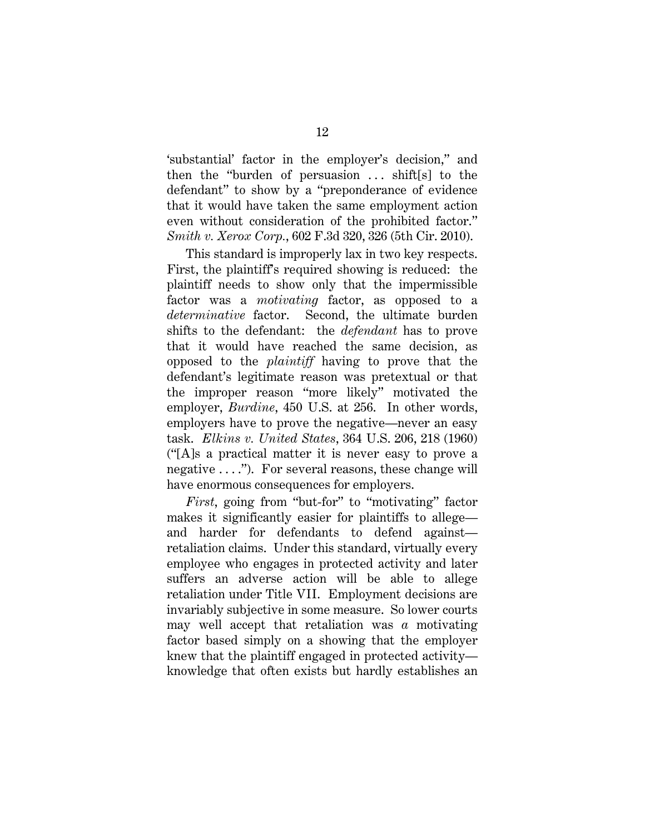'substantial' factor in the employer's decision," and then the "burden of persuasion  $\ldots$  shift[s] to the defendant" to show by a "preponderance of evidence that it would have taken the same employment action even without consideration of the prohibited factor." *Smith v. Xerox Corp.*, 602 F.3d 320, 326 (5th Cir. 2010).

This standard is improperly lax in two key respects. First, the plaintiff's required showing is reduced: the plaintiff needs to show only that the impermissible factor was a *motivating* factor, as opposed to a *determinative* factor. Second, the ultimate burden shifts to the defendant: the *defendant* has to prove that it would have reached the same decision, as opposed to the *plaintiff* having to prove that the defendant's legitimate reason was pretextual or that the improper reason "more likely" motivated the employer, *Burdine*, 450 U.S. at 256. In other words, employers have to prove the negative—never an easy task. *Elkins v. United States*, 364 U.S. 206, 218 (1960) ("[A]s a practical matter it is never easy to prove a negative  $\dots$ "). For several reasons, these change will have enormous consequences for employers.

*First*, going from "but-for" to "motivating" factor makes it significantly easier for plaintiffs to allege and harder for defendants to defend against retaliation claims. Under this standard, virtually every employee who engages in protected activity and later suffers an adverse action will be able to allege retaliation under Title VII. Employment decisions are invariably subjective in some measure. So lower courts may well accept that retaliation was *a* motivating factor based simply on a showing that the employer knew that the plaintiff engaged in protected activity knowledge that often exists but hardly establishes an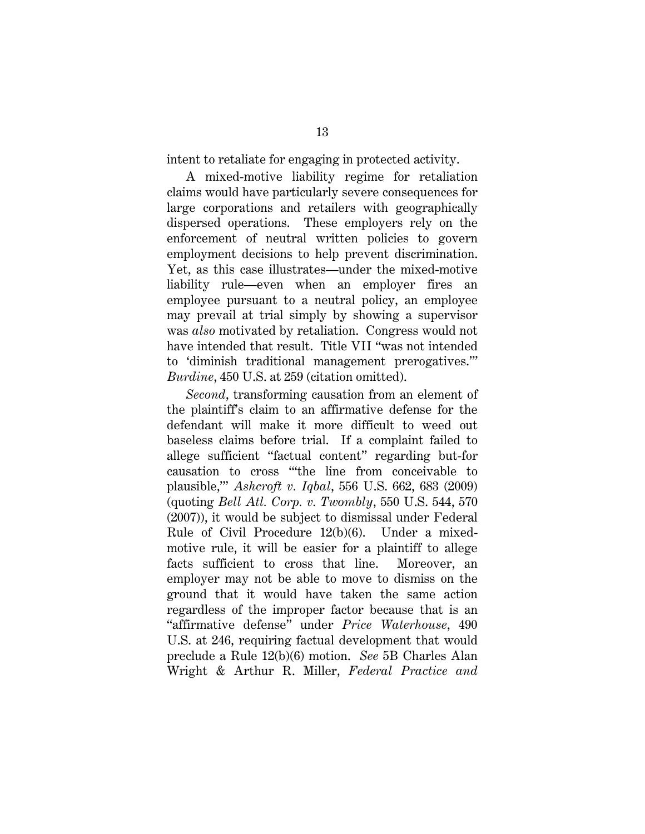intent to retaliate for engaging in protected activity.

A mixed-motive liability regime for retaliation claims would have particularly severe consequences for large corporations and retailers with geographically dispersed operations. These employers rely on the enforcement of neutral written policies to govern employment decisions to help prevent discrimination. Yet, as this case illustrates—under the mixed-motive liability rule—even when an employer fires an employee pursuant to a neutral policy, an employee may prevail at trial simply by showing a supervisor was *also* motivated by retaliation. Congress would not have intended that result. Title VII "was not intended to 'diminish traditional management prerogatives.'" *Burdine*, 450 U.S. at 259 (citation omitted).

*Second*, transforming causation from an element of the plaintiff's claim to an affirmative defense for the defendant will make it more difficult to weed out baseless claims before trial. If a complaint failed to allege sufficient "factual content" regarding but-for causation to cross "'the line from conceivable to plausible,'" *Ashcroft v. Iqbal*, 556 U.S. 662, 683 (2009) (quoting *Bell Atl. Corp. v. Twombly*, 550 U.S. 544, 570 (2007)), it would be subject to dismissal under Federal Rule of Civil Procedure 12(b)(6). Under a mixedmotive rule, it will be easier for a plaintiff to allege facts sufficient to cross that line. Moreover, an employer may not be able to move to dismiss on the ground that it would have taken the same action regardless of the improper factor because that is an "affirmative defense" under *Price Waterhouse*, 490 U.S. at 246, requiring factual development that would preclude a Rule 12(b)(6) motion. *See* 5B Charles Alan Wright & Arthur R. Miller, *Federal Practice and*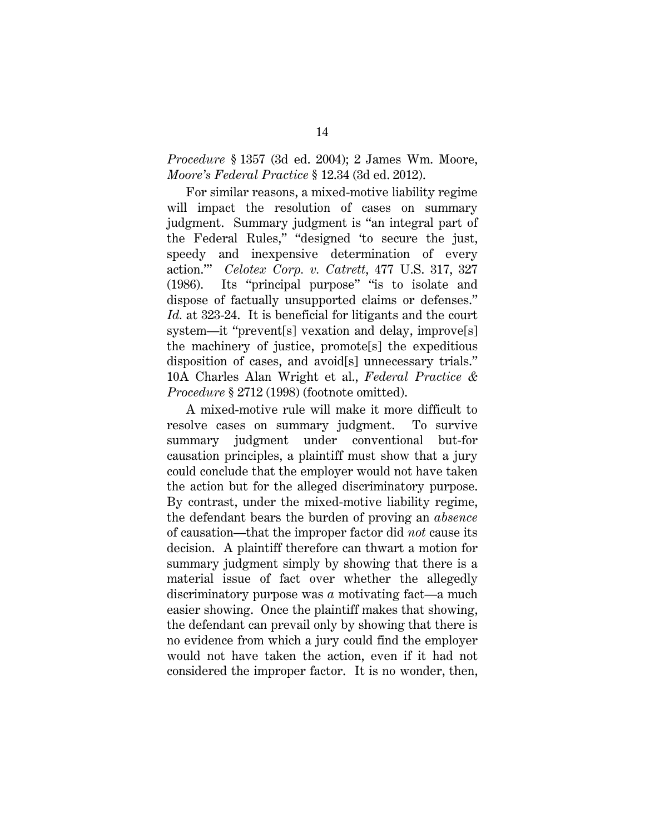### *Procedure* § 1357 (3d ed. 2004); 2 James Wm. Moore, *Moore's Federal Practice* § 12.34 (3d ed. 2012).

For similar reasons, a mixed-motive liability regime will impact the resolution of cases on summary judgment. Summary judgment is "an integral part of the Federal Rules," "designed 'to secure the just, speedy and inexpensive determination of every action.'" *Celotex Corp. v. Catrett*, 477 U.S. 317, 327 (1986). Its "principal purpose" "is to isolate and dispose of factually unsupported claims or defenses." *Id.* at 323-24. It is beneficial for litigants and the court system—it "prevent[s] vexation and delay, improve[s] the machinery of justice, promote[s] the expeditious disposition of cases, and avoid[s] unnecessary trials." 10A Charles Alan Wright et al., *Federal Practice & Procedure* § 2712 (1998) (footnote omitted).

A mixed-motive rule will make it more difficult to resolve cases on summary judgment. To survive summary judgment under conventional but-for causation principles, a plaintiff must show that a jury could conclude that the employer would not have taken the action but for the alleged discriminatory purpose. By contrast, under the mixed-motive liability regime, the defendant bears the burden of proving an *absence*  of causation—that the improper factor did *not* cause its decision. A plaintiff therefore can thwart a motion for summary judgment simply by showing that there is a material issue of fact over whether the allegedly discriminatory purpose was *a* motivating fact—a much easier showing. Once the plaintiff makes that showing, the defendant can prevail only by showing that there is no evidence from which a jury could find the employer would not have taken the action, even if it had not considered the improper factor. It is no wonder, then,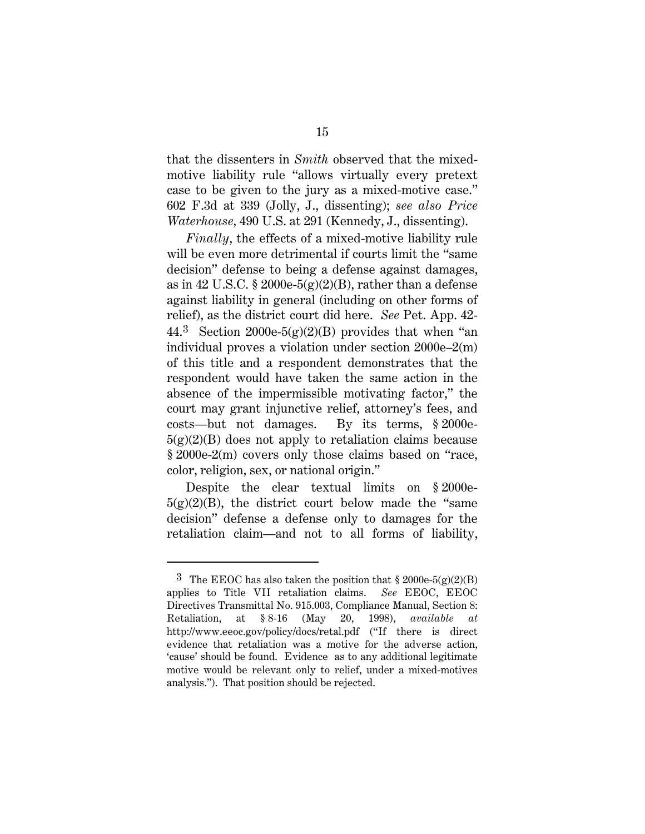that the dissenters in *Smith* observed that the mixedmotive liability rule "allows virtually every pretext case to be given to the jury as a mixed-motive case." 602 F.3d at 339 (Jolly, J., dissenting); *see also Price Waterhouse,* 490 U.S. at 291 (Kennedy, J., dissenting).

*Finally*, the effects of a mixed-motive liability rule will be even more detrimental if courts limit the "same" decision" defense to being a defense against damages, as in 42 U.S.C. § 2000e-5(g)(2)(B), rather than a defense against liability in general (including on other forms of relief), as the district court did here. *See* Pet. App. 42- 44.<sup>3</sup> Section 2000e-5(g)(2)(B) provides that when "an individual proves a violation under section 2000e–2(m) of this title and a respondent demonstrates that the respondent would have taken the same action in the absence of the impermissible motivating factor," the court may grant injunctive relief, attorney's fees, and costs—but not damages. By its terms, § 2000e- $5(g)(2)(B)$  does not apply to retaliation claims because § 2000e-2(m) covers only those claims based on "race, color, religion, sex, or national origin."

Despite the clear textual limits on § 2000e- $5(g)(2)(B)$ , the district court below made the "same decision" defense a defense only to damages for the retaliation claim—and not to all forms of liability,

<span id="page-24-0"></span><sup>&</sup>lt;sup>3</sup> The EEOC has also taken the position that  $\S 2000e-5(g)(2)(B)$ applies to Title VII retaliation claims. *See* EEOC, EEOC Directives Transmittal No. 915.003, Compliance Manual, Section 8: Retaliation, at § 8-16 (May 20, 1998), *available at* http://www.eeoc.gov/policy/docs/retal.pdf ("If there is direct evidence that retaliation was a motive for the adverse action, 'cause' should be found. Evidence as to any additional legitimate motive would be relevant only to relief, under a mixed-motives analysis."). That position should be rejected.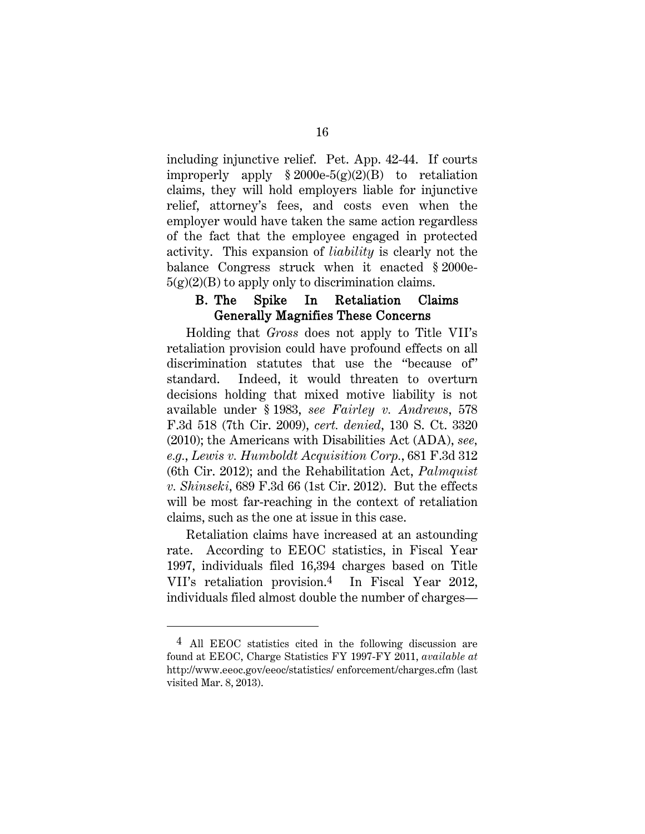including injunctive relief. Pet. App. 42-44. If courts improperly apply  $\S 2000e-5(g)(2)(B)$  to retaliation claims, they will hold employers liable for injunctive relief, attorney's fees, and costs even when the employer would have taken the same action regardless of the fact that the employee engaged in protected activity. This expansion of *liability* is clearly not the balance Congress struck when it enacted § 2000e- $5(g)(2)(B)$  to apply only to discrimination claims.

#### B. The Spike In Retaliation Claims Generally Magnifies These Concerns

Holding that *Gross* does not apply to Title VII's retaliation provision could have profound effects on all discrimination statutes that use the "because of" standard. Indeed, it would threaten to overturn decisions holding that mixed motive liability is not available under § 1983, *see Fairley v. Andrews*, 578 F.3d 518 (7th Cir. 2009), *cert. denied*, 130 S. Ct. 3320 (2010); the Americans with Disabilities Act (ADA), *see, e.g.*, *Lewis v. Humboldt Acquisition Corp.*, 681 F.3d 312 (6th Cir. 2012); and the Rehabilitation Act, *Palmquist v. Shinseki*, 689 F.3d 66 (1st Cir. 2012). But the effects will be most far-reaching in the context of retaliation claims, such as the one at issue in this case.

Retaliation claims have increased at an astounding rate. According to EEOC statistics, in Fiscal Year 1997, individuals filed 16,394 charges based on Title VII's retaliation provision.[4](#page-25-0) In Fiscal Year 2012, individuals filed almost double the number of charges—

<span id="page-25-0"></span><sup>4</sup> All EEOC statistics cited in the following discussion are found at EEOC, Charge Statistics FY 1997-FY 2011, *available at* http://www.eeoc.gov/eeoc/statistics/ enforcement/charges.cfm (last visited Mar. 8, 2013).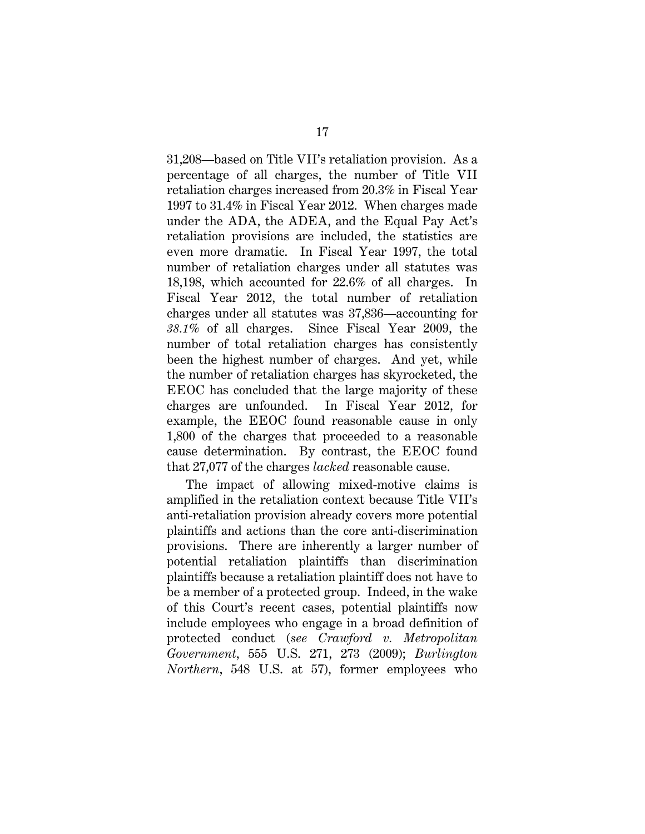31,208—based on Title VII's retaliation provision. As a percentage of all charges, the number of Title VII retaliation charges increased from 20.3% in Fiscal Year 1997 to 31.4% in Fiscal Year 2012. When charges made under the ADA, the ADEA, and the Equal Pay Act's retaliation provisions are included, the statistics are even more dramatic. In Fiscal Year 1997, the total number of retaliation charges under all statutes was 18,198, which accounted for 22.6% of all charges. In Fiscal Year 2012, the total number of retaliation charges under all statutes was 37,836—accounting for *38.1%* of all charges. Since Fiscal Year 2009, the number of total retaliation charges has consistently been the highest number of charges. And yet, while the number of retaliation charges has skyrocketed, the EEOC has concluded that the large majority of these charges are unfounded. In Fiscal Year 2012, for example, the EEOC found reasonable cause in only 1,800 of the charges that proceeded to a reasonable cause determination. By contrast, the EEOC found that 27,077 of the charges *lacked* reasonable cause.

The impact of allowing mixed-motive claims is amplified in the retaliation context because Title VII's anti-retaliation provision already covers more potential plaintiffs and actions than the core anti-discrimination provisions. There are inherently a larger number of potential retaliation plaintiffs than discrimination plaintiffs because a retaliation plaintiff does not have to be a member of a protected group. Indeed, in the wake of this Court's recent cases, potential plaintiffs now include employees who engage in a broad definition of protected conduct (*see Crawford v. Metropolitan Government*, 555 U.S. 271, 273 (2009); *Burlington Northern*, 548 U.S. at 57), former employees who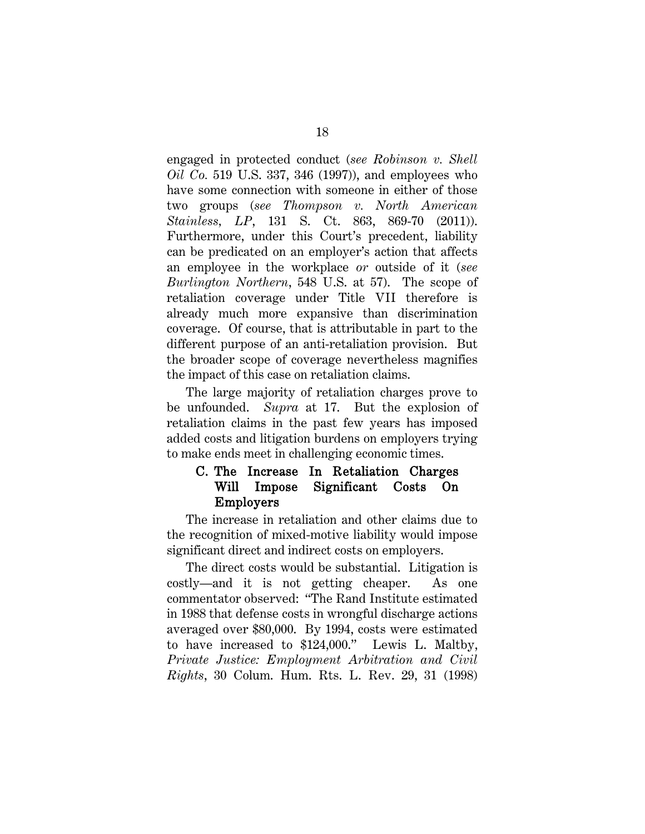engaged in protected conduct (*see Robinson v. Shell Oil Co.* 519 U.S. 337, 346 (1997)), and employees who have some connection with someone in either of those two groups (*see Thompson v. North American Stainless, LP*, 131 S. Ct. 863, 869-70 (2011)). Furthermore, under this Court's precedent, liability can be predicated on an employer's action that affects an employee in the workplace *or* outside of it (*see Burlington Northern*, 548 U.S. at 57). The scope of retaliation coverage under Title VII therefore is already much more expansive than discrimination coverage. Of course, that is attributable in part to the different purpose of an anti-retaliation provision. But the broader scope of coverage nevertheless magnifies the impact of this case on retaliation claims.

The large majority of retaliation charges prove to be unfounded. *Supra* at 17. But the explosion of retaliation claims in the past few years has imposed added costs and litigation burdens on employers trying to make ends meet in challenging economic times.

### C. The Increase In Retaliation Charges Will Impose Significant Costs On Employers

The increase in retaliation and other claims due to the recognition of mixed-motive liability would impose significant direct and indirect costs on employers.

The direct costs would be substantial. Litigation is costly—and it is not getting cheaper. As one commentator observed: "The Rand Institute estimated in 1988 that defense costs in wrongful discharge actions averaged over \$80,000. By 1994, costs were estimated to have increased to \$124,000." Lewis L. Maltby, *Private Justice: Employment Arbitration and Civil Rights*, 30 Colum. Hum. Rts. L. Rev. 29, 31 (1998)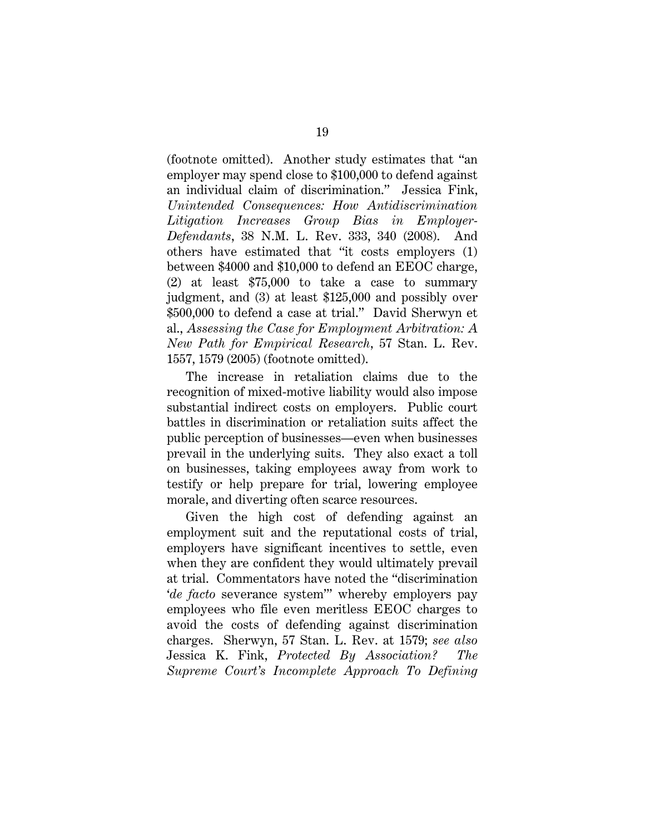(footnote omitted). Another study estimates that "an employer may spend close to \$100,000 to defend against an individual claim of discrimination." Jessica Fink, *Unintended Consequences: How Antidiscrimination Litigation Increases Group Bias in Employer-Defendants*, 38 N.M. L. Rev. 333, 340 (2008). And others have estimated that "it costs employers (1) between \$4000 and \$10,000 to defend an EEOC charge, (2) at least \$75,000 to take a case to summary judgment, and (3) at least \$125,000 and possibly over \$500,000 to defend a case at trial." David Sherwyn et al., *Assessing the Case for Employment Arbitration: A New Path for Empirical Research*, 57 Stan. L. Rev. 1557, 1579 (2005) (footnote omitted).

The increase in retaliation claims due to the recognition of mixed-motive liability would also impose substantial indirect costs on employers. Public court battles in discrimination or retaliation suits affect the public perception of businesses—even when businesses prevail in the underlying suits. They also exact a toll on businesses, taking employees away from work to testify or help prepare for trial, lowering employee morale, and diverting often scarce resources.

Given the high cost of defending against an employment suit and the reputational costs of trial, employers have significant incentives to settle, even when they are confident they would ultimately prevail at trial. Commentators have noted the "discrimination '*de facto* severance system'" whereby employers pay employees who file even meritless EEOC charges to avoid the costs of defending against discrimination charges. Sherwyn, 57 Stan. L. Rev. at 1579; *see also* Jessica K. Fink, *Protected By Association? The Supreme Court's Incomplete Approach To Defining*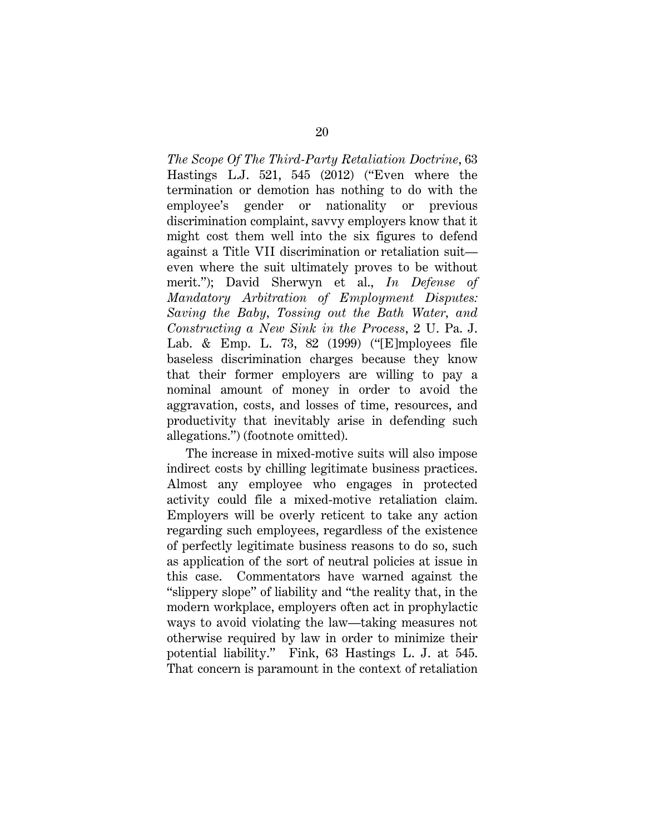*The Scope Of The Third-Party Retaliation Doctrine*, 63 Hastings L.J. 521, 545 (2012) ("Even where the termination or demotion has nothing to do with the employee's gender or nationality or previous discrimination complaint, savvy employers know that it might cost them well into the six figures to defend against a Title VII discrimination or retaliation suit even where the suit ultimately proves to be without merit."); David Sherwyn et al., *In Defense of Mandatory Arbitration of Employment Disputes: Saving the Baby, Tossing out the Bath Water, and Constructing a New Sink in the Process*, 2 U. Pa. J. Lab. & Emp. L. 73, 82 (1999) ("[E]mployees file baseless discrimination charges because they know that their former employers are willing to pay a nominal amount of money in order to avoid the aggravation, costs, and losses of time, resources, and productivity that inevitably arise in defending such allegations.") (footnote omitted).

The increase in mixed-motive suits will also impose indirect costs by chilling legitimate business practices. Almost any employee who engages in protected activity could file a mixed-motive retaliation claim. Employers will be overly reticent to take any action regarding such employees, regardless of the existence of perfectly legitimate business reasons to do so, such as application of the sort of neutral policies at issue in this case. Commentators have warned against the "slippery slope" of liability and "the reality that, in the modern workplace, employers often act in prophylactic ways to avoid violating the law—taking measures not otherwise required by law in order to minimize their potential liability." Fink, 63 Hastings L. J. at 545. That concern is paramount in the context of retaliation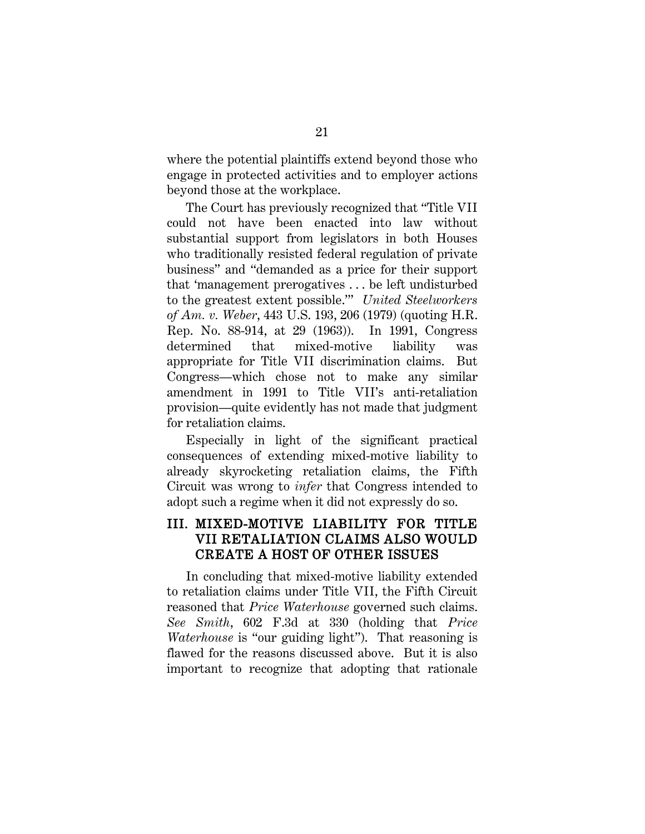where the potential plaintiffs extend beyond those who engage in protected activities and to employer actions beyond those at the workplace.

The Court has previously recognized that "Title VII could not have been enacted into law without substantial support from legislators in both Houses who traditionally resisted federal regulation of private business" and "demanded as a price for their support that 'management prerogatives . . . be left undisturbed to the greatest extent possible.'" *United Steelworkers of Am. v. Weber*, 443 U.S. 193, 206 (1979) (quoting H.R. Rep. No. 88-914, at 29 (1963)). In 1991, Congress determined that mixed-motive liability was appropriate for Title VII discrimination claims. But Congress—which chose not to make any similar amendment in 1991 to Title VII's anti-retaliation provision—quite evidently has not made that judgment for retaliation claims.

Especially in light of the significant practical consequences of extending mixed-motive liability to already skyrocketing retaliation claims, the Fifth Circuit was wrong to *infer* that Congress intended to adopt such a regime when it did not expressly do so.

### III. MIXED-MOTIVE LIABILITY FOR TITLE VII RETALIATION CLAIMS ALSO WOULD CREATE A HOST OF OTHER ISSUES

In concluding that mixed-motive liability extended to retaliation claims under Title VII, the Fifth Circuit reasoned that *Price Waterhouse* governed such claims. *See Smith*, 602 F.3d at 330 (holding that *Price Waterhouse* is "our guiding light"). That reasoning is flawed for the reasons discussed above. But it is also important to recognize that adopting that rationale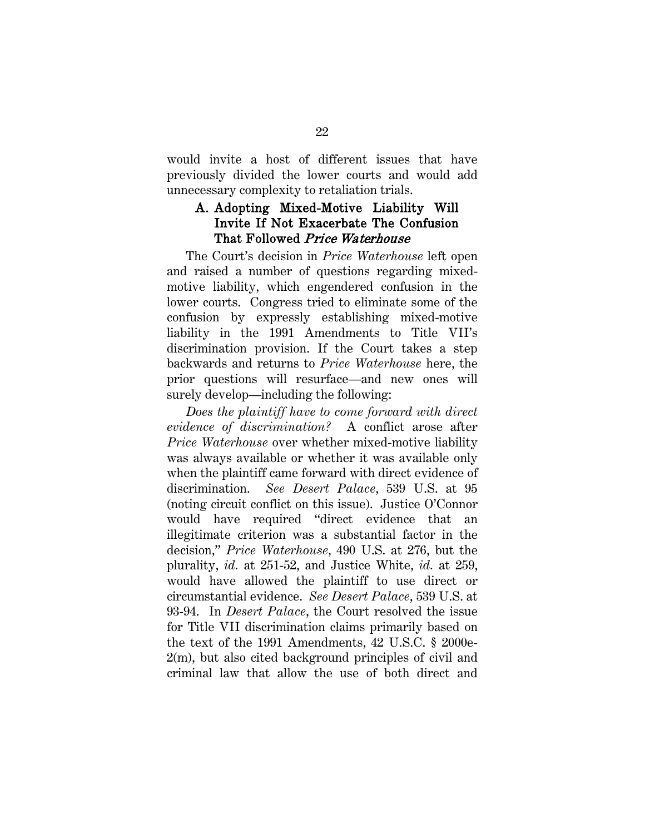would invite a host of different issues that have previously divided the lower courts and would add unnecessary complexity to retaliation trials.

### A. Adopting Mixed-Motive Liability Will Invite If Not Exacerbate The Confusion That Followed Price Waterhouse

The Court's decision in *Price Waterhouse* left open and raised a number of questions regarding mixedmotive liability, which engendered confusion in the lower courts. Congress tried to eliminate some of the confusion by expressly establishing mixed-motive liability in the 1991 Amendments to Title VII's discrimination provision. If the Court takes a step backwards and returns to *Price Waterhouse* here, the prior questions will resurface—and new ones will surely develop—including the following:

*Does the plaintiff have to come forward with direct evidence of discrimination?* A conflict arose after *Price Waterhouse* over whether mixed-motive liability was always available or whether it was available only when the plaintiff came forward with direct evidence of discrimination. *See Desert Palace*, 539 U.S. at 95 (noting circuit conflict on this issue). Justice O'Connor would have required "direct evidence that an illegitimate criterion was a substantial factor in the decision," *Price Waterhouse*, 490 U.S. at 276, but the plurality, *id.* at 251-52, and Justice White, *id.* at 259, would have allowed the plaintiff to use direct or circumstantial evidence. *See Desert Palace*, 539 U.S. at 93-94. In *Desert Palace*, the Court resolved the issue for Title VII discrimination claims primarily based on the text of the 1991 Amendments, 42 U.S.C. § 2000e-2(m), but also cited background principles of civil and criminal law that allow the use of both direct and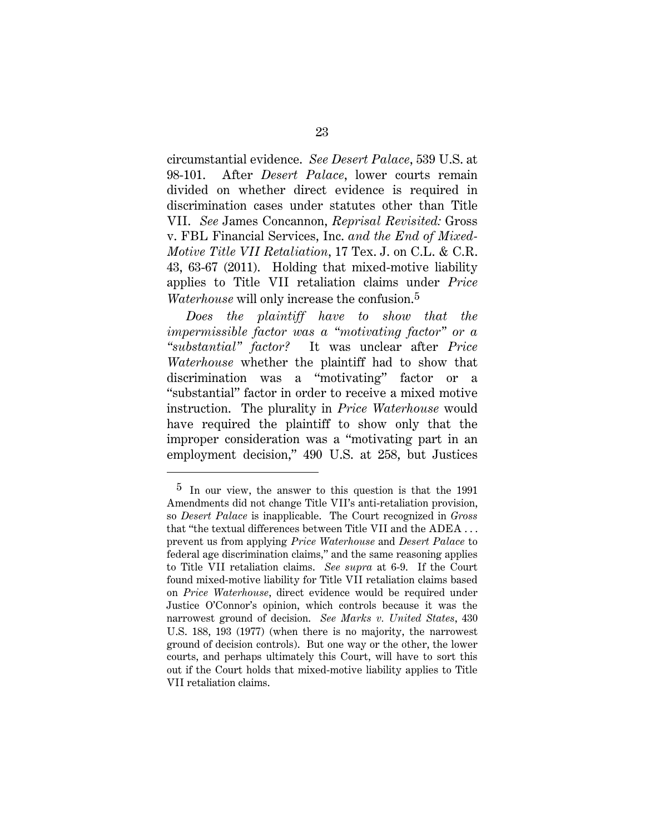circumstantial evidence. *See Desert Palace*, 539 U.S. at 98-101. After *Desert Palace*, lower courts remain divided on whether direct evidence is required in discrimination cases under statutes other than Title VII. *See* James Concannon, *Reprisal Revisited:* Gross v. FBL Financial Services, Inc. *and the End of Mixed-Motive Title VII Retaliation*, 17 Tex. J. on C.L. & C.R. 43, 63-67 (2011). Holding that mixed-motive liability applies to Title VII retaliation claims under *Price Waterhouse* will only increase the confusion.[5](#page-32-0)

*Does the plaintiff have to show that the impermissible factor was a "motivating factor" or a "substantial" factor?* It was unclear after *Price Waterhouse* whether the plaintiff had to show that discrimination was a "motivating" factor or a "substantial" factor in order to receive a mixed motive instruction. The plurality in *Price Waterhouse* would have required the plaintiff to show only that the improper consideration was a "motivating part in an employment decision," 490 U.S. at 258, but Justices

<span id="page-32-0"></span><sup>5</sup> In our view, the answer to this question is that the 1991 Amendments did not change Title VII's anti-retaliation provision, so *Desert Palace* is inapplicable. The Court recognized in *Gross* that "the textual differences between Title VII and the ADEA . . . prevent us from applying *Price Waterhouse* and *Desert Palace* to federal age discrimination claims," and the same reasoning applies to Title VII retaliation claims. *See supra* at 6-9. If the Court found mixed-motive liability for Title VII retaliation claims based on *Price Waterhouse*, direct evidence would be required under Justice O'Connor's opinion, which controls because it was the narrowest ground of decision. *See Marks v. United States*, 430 U.S. 188, 193 (1977) (when there is no majority, the narrowest ground of decision controls). But one way or the other, the lower courts, and perhaps ultimately this Court, will have to sort this out if the Court holds that mixed-motive liability applies to Title VII retaliation claims.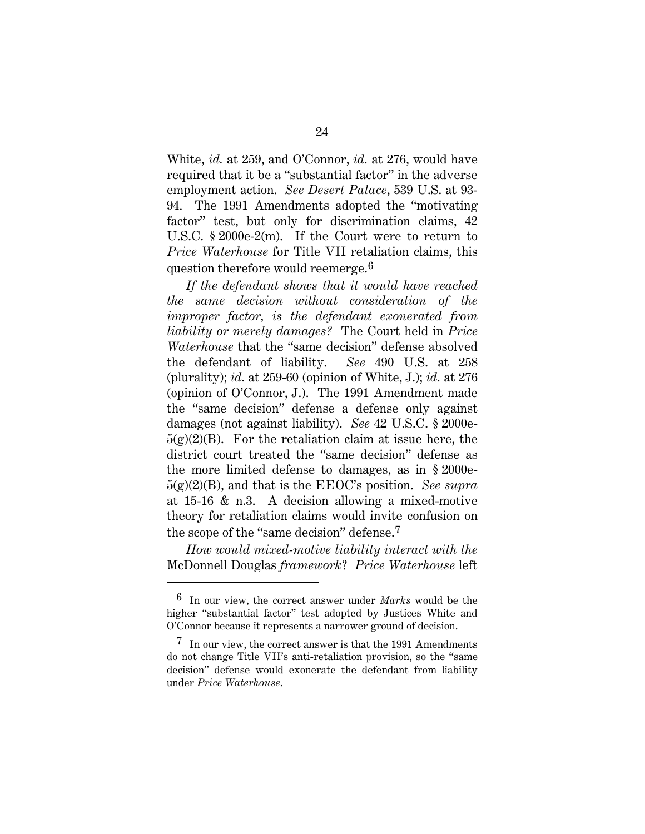White, *id.* at 259, and O'Connor, *id.* at 276, would have required that it be a "substantial factor" in the adverse employment action. *See Desert Palace*, 539 U.S. at 93- 94. The 1991 Amendments adopted the "motivating factor" test, but only for discrimination claims, 42 U.S.C. § 2000e-2(m). If the Court were to return to *Price Waterhouse* for Title VII retaliation claims, this question therefore would reemerge.[6](#page-33-0)

*If the defendant shows that it would have reached the same decision without consideration of the improper factor, is the defendant exonerated from liability or merely damages?* The Court held in *Price Waterhouse* that the "same decision" defense absolved the defendant of liability. *See* 490 U.S. at 258 (plurality); *id.* at 259-60 (opinion of White, J.); *id.* at 276 (opinion of O'Connor, J.). The 1991 Amendment made the "same decision" defense a defense only against damages (not against liability). *See* 42 U.S.C. § 2000e- $5(g)(2)(B)$ . For the retaliation claim at issue here, the district court treated the "same decision" defense as the more limited defense to damages, as in § 2000e-5(g)(2)(B), and that is the EEOC's position. *See supra* at 15-16 & n.3. A decision allowing a mixed-motive theory for retaliation claims would invite confusion on the scope of the "same decision" defense.[7](#page-33-1)

*How would mixed-motive liability interact with the*  McDonnell Douglas *framework*? *Price Waterhouse* left

<span id="page-33-0"></span><sup>6</sup> In our view, the correct answer under *Marks* would be the higher "substantial factor" test adopted by Justices White and O'Connor because it represents a narrower ground of decision.

<span id="page-33-1"></span> $7$  In our view, the correct answer is that the 1991 Amendments do not change Title VII's anti-retaliation provision, so the "same decision" defense would exonerate the defendant from liability under *Price Waterhouse*.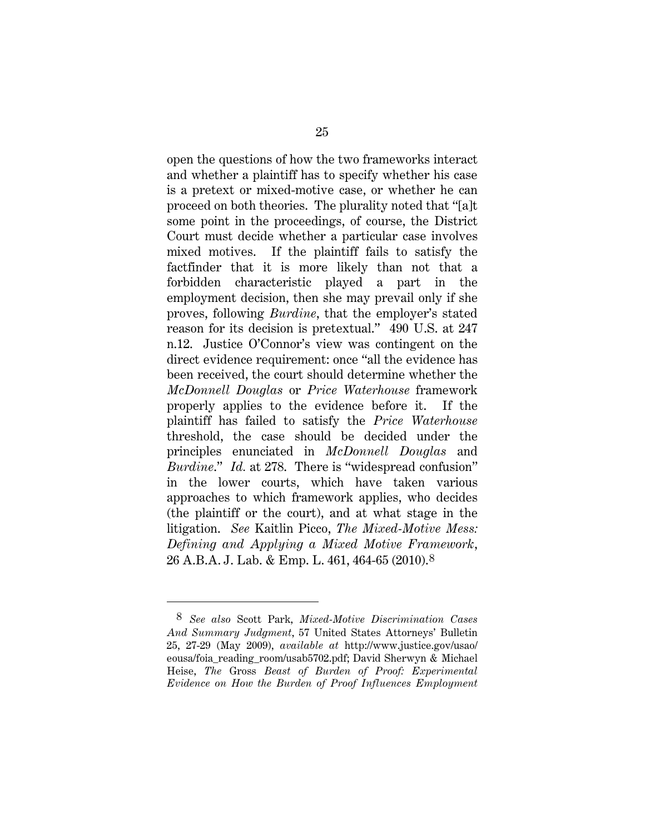open the questions of how the two frameworks interact and whether a plaintiff has to specify whether his case is a pretext or mixed-motive case, or whether he can proceed on both theories. The plurality noted that "[a]t some point in the proceedings, of course, the District Court must decide whether a particular case involves mixed motives. If the plaintiff fails to satisfy the factfinder that it is more likely than not that a forbidden characteristic played a part in the employment decision, then she may prevail only if she proves, following *Burdine*, that the employer's stated reason for its decision is pretextual." 490 U.S. at 247 n.12. Justice O'Connor's view was contingent on the direct evidence requirement: once "all the evidence has been received, the court should determine whether the *McDonnell Douglas* or *Price Waterhouse* framework properly applies to the evidence before it. If the plaintiff has failed to satisfy the *Price Waterhouse* threshold, the case should be decided under the principles enunciated in *McDonnell Douglas* and *Burdine*." *Id.* at 278. There is "widespread confusion" in the lower courts, which have taken various approaches to which framework applies, who decides (the plaintiff or the court), and at what stage in the litigation. *See* Kaitlin Picco, *The Mixed-Motive Mess: Defining and Applying a Mixed Motive Framework*, 26 A.B.A. J. Lab. & Emp. L. 461, 464-65 (2010).[8](#page-34-0)

<span id="page-34-0"></span><sup>8</sup> *See also* Scott Park, *Mixed-Motive Discrimination Cases And Summary Judgment*, 57 United States Attorneys' Bulletin 25, 27-29 (May 2009), *available at* http://www.justice.gov/usao/ eousa/foia\_reading\_room/usab5702.pdf; David Sherwyn & Michael Heise, *The* Gross *Beast of Burden of Proof: Experimental Evidence on How the Burden of Proof Influences Employment*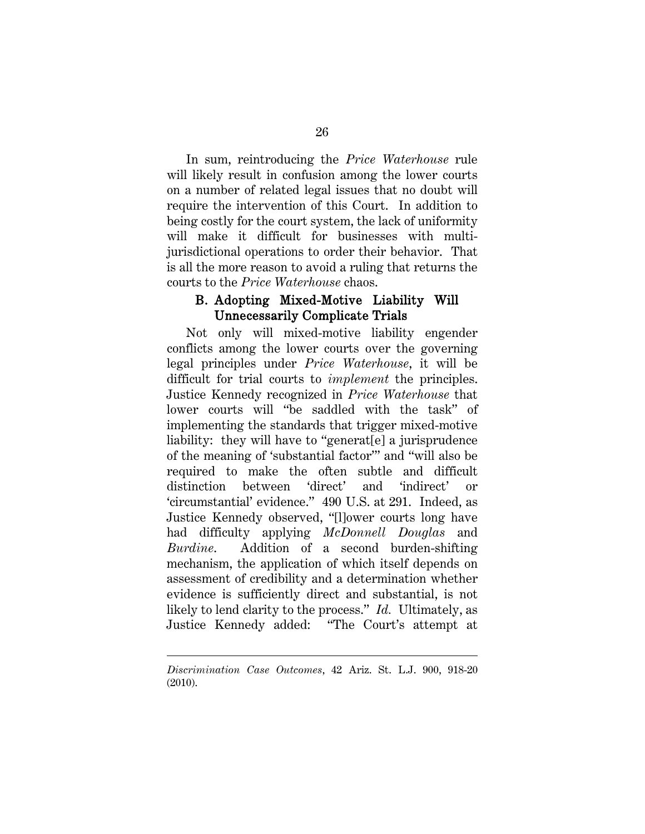In sum, reintroducing the *Price Waterhouse* rule will likely result in confusion among the lower courts on a number of related legal issues that no doubt will require the intervention of this Court. In addition to being costly for the court system, the lack of uniformity will make it difficult for businesses with multijurisdictional operations to order their behavior. That is all the more reason to avoid a ruling that returns the courts to the *Price Waterhouse* chaos.

### B. Adopting Mixed-Motive Liability Will Unnecessarily Complicate Trials

Not only will mixed-motive liability engender conflicts among the lower courts over the governing legal principles under *Price Waterhouse*, it will be difficult for trial courts to *implement* the principles. Justice Kennedy recognized in *Price Waterhouse* that lower courts will "be saddled with the task" of implementing the standards that trigger mixed-motive liability: they will have to "generat[e] a jurisprudence of the meaning of 'substantial factor'" and "will also be required to make the often subtle and difficult distinction between 'direct' and 'indirect' or 'circumstantial' evidence." 490 U.S. at 291. Indeed, as Justice Kennedy observed, "[l]ower courts long have had difficulty applying *McDonnell Douglas* and *Burdine*. Addition of a second burden-shifting mechanism, the application of which itself depends on assessment of credibility and a determination whether evidence is sufficiently direct and substantial, is not likely to lend clarity to the process." *Id.* Ultimately, as Justice Kennedy added: "The Court's attempt at

*Discrimination Case Outcomes*, 42 Ariz. St. L.J. 900, 918-20 (2010).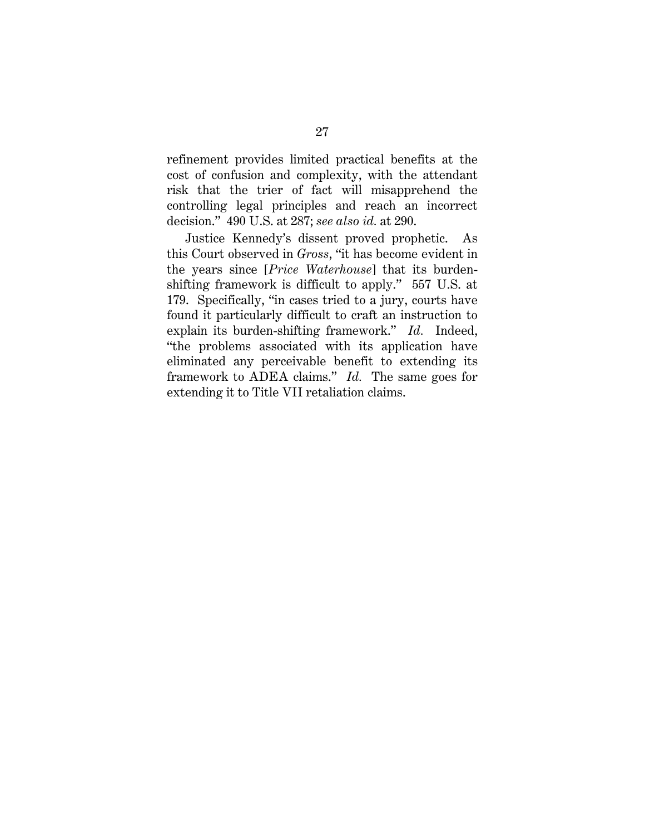refinement provides limited practical benefits at the cost of confusion and complexity, with the attendant risk that the trier of fact will misapprehend the controlling legal principles and reach an incorrect decision." 490 U.S. at 287; *see also id.* at 290.

Justice Kennedy's dissent proved prophetic. As this Court observed in *Gross*, "it has become evident in the years since [*Price Waterhouse*] that its burdenshifting framework is difficult to apply." 557 U.S. at 179. Specifically, "in cases tried to a jury, courts have found it particularly difficult to craft an instruction to explain its burden-shifting framework." *Id.* Indeed, "the problems associated with its application have eliminated any perceivable benefit to extending its framework to ADEA claims." *Id.* The same goes for extending it to Title VII retaliation claims.